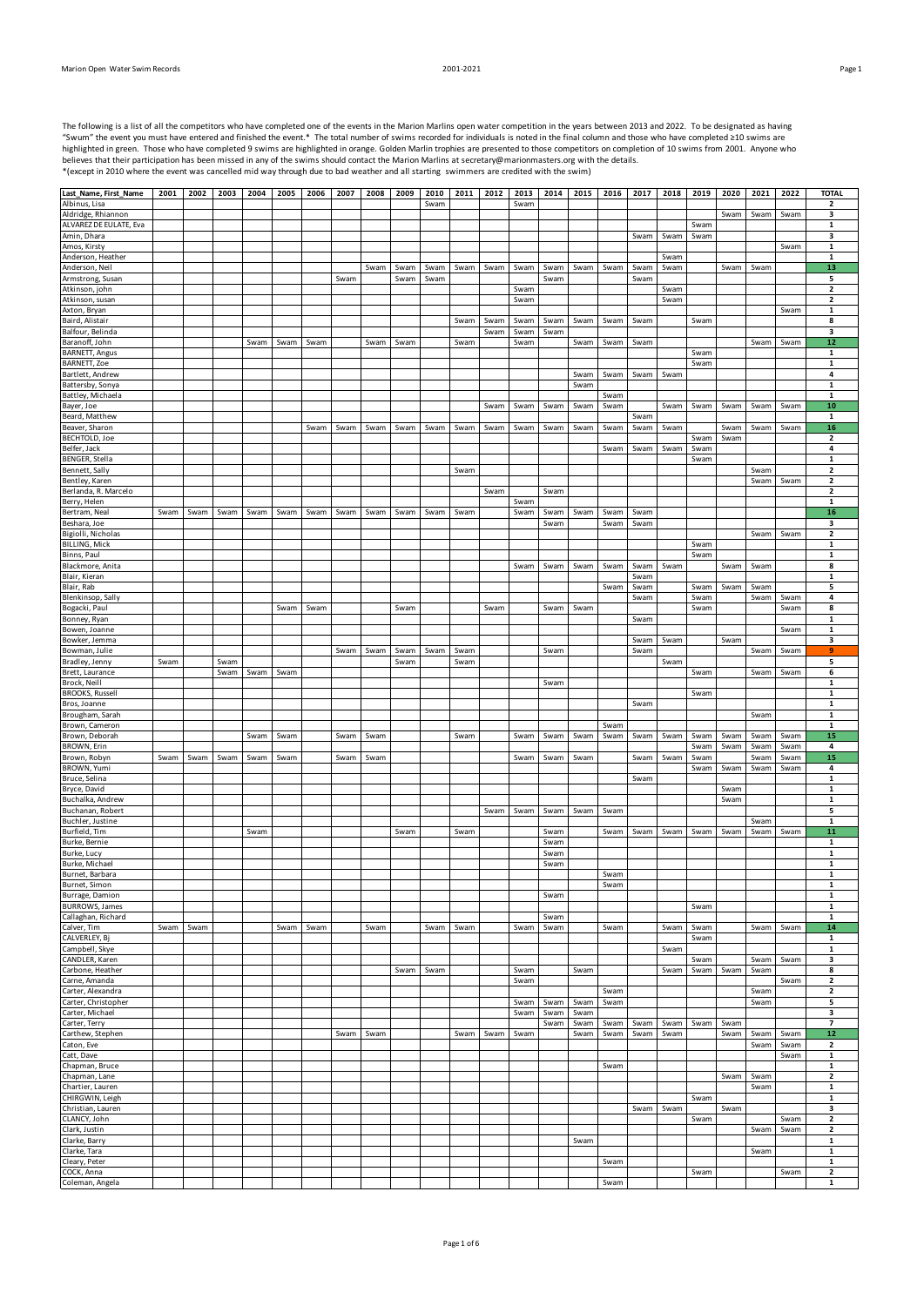| The following is a list of all the competitors who have completed one of the events in the Marion Marlins open water competition in the years between 2013 and 2022. To be designated as having |
|-------------------------------------------------------------------------------------------------------------------------------------------------------------------------------------------------|
| "Swum" the event you must have entered and finished the event.* The total number of swims recorded for individuals is noted in the final column and those who have completed ≥10 swims are      |
| highlighted in green. Those who have completed 9 swims are highlighted in orange. Golden Marlin trophies are presented to those competitors on completion of 10 swims from 2001. Anyone who     |
| believes that their participation has been missed in any of the swims should contact the Marion Marlins at secretary@marionmasters.org with the details.                                        |
| *(except in 2010 where the event was cancelled mid way through due to bad weather and all starting swimmers are credited with the swim)                                                         |
|                                                                                                                                                                                                 |

| Last_Name, First_Name                      | 2001 | 2002 | 2003 | 2004 | 2005 | 2006 | 2007 | 2008 | 2009 | 2010 | 2011 | 2012 | 2013 | 2014 | 2015 | 2016 | 2017 | 2018 | 2019 | 2020 | 2021 | 2022 | <b>TOTAL</b>                            |
|--------------------------------------------|------|------|------|------|------|------|------|------|------|------|------|------|------|------|------|------|------|------|------|------|------|------|-----------------------------------------|
| Albinus, Lisa                              |      |      |      |      |      |      |      |      |      | Swam |      |      | Swam |      |      |      |      |      |      |      |      |      | $\overline{\mathbf{2}}$                 |
| Aldridge, Rhiannon                         |      |      |      |      |      |      |      |      |      |      |      |      |      |      |      |      |      |      |      | Swam | Swam | Swam | 3                                       |
| ALVAREZ DE EULATE, Eva                     |      |      |      |      |      |      |      |      |      |      |      |      |      |      |      |      |      |      | Swam |      |      |      | $\mathbf{1}$                            |
| Amin, Dhara                                |      |      |      |      |      |      |      |      |      |      |      |      |      |      |      |      | Swam | Swam | Swam |      |      |      | 3                                       |
| Amos, Kirsty                               |      |      |      |      |      |      |      |      |      |      |      |      |      |      |      |      |      |      |      |      |      | Swam | $\mathbf{1}$                            |
| Anderson, Heather                          |      |      |      |      |      |      |      |      |      |      |      |      |      |      |      |      |      | Swam |      |      |      |      | 1                                       |
| Anderson, Neil                             |      |      |      |      |      |      |      | Swam | Swam | Swam | Swam | Swam | Swam | Swam | Swam | Swam | Swam | Swam |      | Swam | Swam |      | 13                                      |
| Armstrong, Susan                           |      |      |      |      |      |      | Swam |      | Swam | Swam |      |      |      | Swam |      |      | Swam |      |      |      |      |      | 5                                       |
| Atkinson, john                             |      |      |      |      |      |      |      |      |      |      |      |      | Swam |      |      |      |      | Swam |      |      |      |      | $\overline{\mathbf{2}}$                 |
| Atkinson, susan                            |      |      |      |      |      |      |      |      |      |      |      |      | Swam |      |      |      |      | Swam |      |      |      |      | $\overline{\mathbf{2}}$                 |
|                                            |      |      |      |      |      |      |      |      |      |      |      |      |      |      |      |      |      |      |      |      |      |      |                                         |
| Axton, Bryan<br>Baird, Alistair            |      |      |      |      |      |      |      |      |      |      |      |      |      |      |      |      |      |      |      |      |      | Swam | $\mathbf{1}$                            |
| Balfour, Belinda                           |      |      |      |      |      |      |      |      |      |      | Swam | Swam | Swam | Swam | Swam | Swam | Swam |      | Swam |      |      |      | 8<br>3                                  |
| Baranoff, John                             |      |      |      | Swam |      |      |      |      | Swam |      |      | Swam | Swam | Swam |      |      |      |      |      |      | Swam | Swam | 12                                      |
|                                            |      |      |      |      | Swam | Swam |      | Swam |      |      | Swam |      | Swam |      | Swam | Swam | Swam |      |      |      |      |      |                                         |
| <b>BARNETT</b> , Angus                     |      |      |      |      |      |      |      |      |      |      |      |      |      |      |      |      |      |      | Swam |      |      |      | $\mathbf{1}$                            |
| BARNETT, Zoe<br>Bartlett, Andrew           |      |      |      |      |      |      |      |      |      |      |      |      |      |      |      |      |      |      | Swam |      |      |      | $\mathbf 1$<br>4                        |
| Battersby, Sonya                           |      |      |      |      |      |      |      |      |      |      |      |      |      |      | Swam | Swam | Swam | Swam |      |      |      |      |                                         |
|                                            |      |      |      |      |      |      |      |      |      |      |      |      |      |      | Swam |      |      |      |      |      |      |      | $\mathbf{1}$<br>$\mathbf{1}$            |
| Battley, Michaela<br>Bayer, Joe            |      |      |      |      |      |      |      |      |      |      |      |      |      |      |      | Swam |      |      |      |      |      |      | 10                                      |
|                                            |      |      |      |      |      |      |      |      |      |      |      | Swam | Swam | Swam | Swam | Swam |      | Swam | Swam | Swam | Swam | Swam |                                         |
| Beard, Matthew                             |      |      |      |      |      |      |      |      |      |      |      |      |      |      |      |      | Swam |      |      |      |      |      | $\mathbf{1}$                            |
| Beaver, Sharon<br><b>BECHTOLD, Joe</b>     |      |      |      |      |      | Swam | Swam | Swam | Swam | Swam | Swam | Swam | Swam | Swam | Swam | Swam | Swam | Swam |      | Swam | Swam | Swam | 16                                      |
| Belfer, Jack                               |      |      |      |      |      |      |      |      |      |      |      |      |      |      |      |      |      |      | Swam | Swam |      |      | $\mathbf 2$<br>4                        |
|                                            |      |      |      |      |      |      |      |      |      |      |      |      |      |      |      | Swam | Swam | Swam | Swam |      |      |      |                                         |
| BENGER, Stella                             |      |      |      |      |      |      |      |      |      |      |      |      |      |      |      |      |      |      | Swam |      |      |      | $\mathbf{1}$                            |
| Bennett, Sally                             |      |      |      |      |      |      |      |      |      |      | Swam |      |      |      |      |      |      |      |      |      | Swam |      | $\overline{\mathbf{2}}$                 |
| Bentley, Karen                             |      |      |      |      |      |      |      |      |      |      |      |      |      |      |      |      |      |      |      |      | Swam | Swam | $\overline{\mathbf{2}}$                 |
| Berlanda, R. Marcelo                       |      |      |      |      |      |      |      |      |      |      |      | Swam |      | Swam |      |      |      |      |      |      |      |      | $\overline{\mathbf{2}}$<br>$\mathbf{1}$ |
| Berry, Helen<br>Bertram, Neal              |      |      |      |      |      |      |      |      |      |      |      |      | Swam |      |      |      |      |      |      |      |      |      |                                         |
|                                            | Swam | Swam | Swam | Swam | Swam | Swam | Swam | Swam | Swam | Swam | Swam |      | Swam | Swam | Swam | Swam | Swam |      |      |      |      |      | 16                                      |
| Beshara, Joe                               |      |      |      |      |      |      |      |      |      |      |      |      |      | Swam |      | Swam | Swam |      |      |      |      |      | 3                                       |
| Bigiolli, Nicholas<br><b>BILLING, Mick</b> |      |      |      |      |      |      |      |      |      |      |      |      |      |      |      |      |      |      |      |      | Swam | Swam | $\overline{\mathbf{2}}$<br>$\mathbf{1}$ |
|                                            |      |      |      |      |      |      |      |      |      |      |      |      |      |      |      |      |      |      | Swam |      |      |      |                                         |
| Binns, Paul                                |      |      |      |      |      |      |      |      |      |      |      |      |      |      |      |      |      |      | Swam |      |      |      | $\mathbf{1}$                            |
| Blackmore, Anita                           |      |      |      |      |      |      |      |      |      |      |      |      | Swam | Swam | Swam | Swam | Swam | Swam |      | Swam | Swam |      | 8                                       |
| Blair, Kieran                              |      |      |      |      |      |      |      |      |      |      |      |      |      |      |      |      | Swam |      |      |      |      |      | $\mathbf{1}$                            |
| Blair, Rab                                 |      |      |      |      |      |      |      |      |      |      |      |      |      |      |      | Swam | Swam |      | Swam | Swam | Swam |      | 5                                       |
| Blenkinsop, Sally                          |      |      |      |      |      |      |      |      |      |      |      |      |      |      |      |      | Swam |      | Swam |      | Swam | Swam | 4                                       |
| Bogacki, Paul                              |      |      |      |      | Swam | Swam |      |      | Swam |      |      | Swam |      | Swam | Swam |      |      |      | Swam |      |      | Swam | 8                                       |
| Bonney, Ryan                               |      |      |      |      |      |      |      |      |      |      |      |      |      |      |      |      | Swam |      |      |      |      |      | $\mathbf{1}$                            |
| Bowen, Joanne                              |      |      |      |      |      |      |      |      |      |      |      |      |      |      |      |      |      |      |      |      |      | Swam | $\mathbf{1}$                            |
| Bowker, Jemma                              |      |      |      |      |      |      |      |      |      |      |      |      |      |      |      |      | Swam | Swam |      | Swam |      |      | 3                                       |
| Bowman, Julie                              |      |      |      |      |      |      | Swam | Swam | Swam | Swam | Swam |      |      | Swam |      |      | Swam |      |      |      | Swam | Swam | 9                                       |
| Bradley, Jenny                             | Swam |      | Swam |      |      |      |      |      | Swam |      | Swam |      |      |      |      |      |      | Swam |      |      |      |      | 5                                       |
| Brett, Laurance                            |      |      | Swam | Swam | Swam |      |      |      |      |      |      |      |      |      |      |      |      |      | Swam |      | Swam | Swam | 6                                       |
| Brock, Neill                               |      |      |      |      |      |      |      |      |      |      |      |      |      | Swam |      |      |      |      |      |      |      |      | 1                                       |
| <b>BROOKS, Russell</b>                     |      |      |      |      |      |      |      |      |      |      |      |      |      |      |      |      |      |      | Swam |      |      |      | $\mathbf{1}$                            |
| Bros, Joanne<br>Brougham, Sarah            |      |      |      |      |      |      |      |      |      |      |      |      |      |      |      |      | Swam |      |      |      |      |      | $\mathbf{1}$                            |
|                                            |      |      |      |      |      |      |      |      |      |      |      |      |      |      |      |      |      |      |      |      | Swam |      | $\mathbf 1$                             |
|                                            |      |      |      |      |      |      |      |      |      |      |      |      |      |      |      |      |      |      |      |      |      |      |                                         |
| Brown, Cameron                             |      |      |      |      |      |      |      |      |      |      |      |      |      |      |      | Swam |      |      |      |      |      |      | $\mathbf 1$                             |
| Brown, Deborah                             |      |      |      | Swam | Swam |      | Swam | Swam |      |      | Swam |      | Swam | Swam | Swam | Swam | Swam | Swam | Swam | Swam | Swam | Swam | 15                                      |
| BROWN, Erin                                |      |      |      |      |      |      |      |      |      |      |      |      |      |      |      |      |      |      | Swam | Swam | Swam | Swam | 4                                       |
| Brown, Robyn                               | Swam | Swam | Swam | Swam | Swam |      | Swam | Swam |      |      |      |      | Swam | Swam | Swam |      | Swam | Swam | Swam |      | Swam | Swam | 15                                      |
| <b>BROWN, Yumi</b>                         |      |      |      |      |      |      |      |      |      |      |      |      |      |      |      |      |      |      | Swam | Swam | Swam | Swam | 4                                       |
| Bruce, Selina                              |      |      |      |      |      |      |      |      |      |      |      |      |      |      |      |      | Swam |      |      |      |      |      | $\mathbf{1}$                            |
| Bryce, David                               |      |      |      |      |      |      |      |      |      |      |      |      |      |      |      |      |      |      |      | Swam |      |      | $\mathbf 1$                             |
| Buchalka, Andrew                           |      |      |      |      |      |      |      |      |      |      |      |      |      |      |      |      |      |      |      | Swam |      |      | $\mathbf{1}$                            |
| Buchanan, Robert                           |      |      |      |      |      |      |      |      |      |      |      | Swam | Swam | Swam | Swam | Swam |      |      |      |      |      |      | 5                                       |
| Buchler, Justine                           |      |      |      |      |      |      |      |      |      |      |      |      |      |      |      |      |      |      |      |      | Swam |      | 1                                       |
| Burfield, Tim                              |      |      |      | Swam |      |      |      |      | Swam |      | Swam |      |      | Swam |      | Swam | Swam | Swam | Swam | Swam | Swam | Swam | 11                                      |
| Burke, Bernie                              |      |      |      |      |      |      |      |      |      |      |      |      |      | Swam |      |      |      |      |      |      |      |      | $\mathbf 1$                             |
| Burke, Lucy                                |      |      |      |      |      |      |      |      |      |      |      |      |      | Swam |      |      |      |      |      |      |      |      | $\mathbf{1}$                            |
| Burke, Michael                             |      |      |      |      |      |      |      |      |      |      |      |      |      | Swam |      |      |      |      |      |      |      |      | $\mathbf 1$                             |
| Burnet, Barbara                            |      |      |      |      |      |      |      |      |      |      |      |      |      |      |      | Swam |      |      |      |      |      |      | $\mathbf 1$                             |
| Burnet, Simon                              |      |      |      |      |      |      |      |      |      |      |      |      |      |      |      | Swam |      |      |      |      |      |      | 1                                       |
| Burrage, Damion                            |      |      |      |      |      |      |      |      |      |      |      |      |      | Swam |      |      |      |      |      |      |      |      | 1                                       |
| <b>BURROWS, James</b>                      |      |      |      |      |      |      |      |      |      |      |      |      |      |      |      |      |      |      | Swam |      |      |      | 1                                       |
| Callaghan, Richard                         |      |      |      |      |      |      |      |      |      |      |      |      |      | Swam |      |      |      |      |      |      |      |      | $\mathbf 1$                             |
| Calver, Tim                                | Swam | Swam |      |      | Swam | Swam |      | Swam |      | Swam | Swam |      | Swam | Swam |      | Swam |      | Swam | Swam |      | Swam | Swam | 14                                      |
| CALVERLEY, Bj                              |      |      |      |      |      |      |      |      |      |      |      |      |      |      |      |      |      |      | Swam |      |      |      | 1                                       |
| Campbell, Skye                             |      |      |      |      |      |      |      |      |      |      |      |      |      |      |      |      |      | Swam |      |      |      |      | $\mathbf{1}$                            |
| CANDLER, Karen                             |      |      |      |      |      |      |      |      |      |      |      |      |      |      |      |      |      |      | Swam |      | Swam | Swam | 3                                       |
| Carbone, Heather                           |      |      |      |      |      |      |      |      | Swam | Swam |      |      | Swam |      | Swam |      |      | Swam | Swam | Swam | Swam |      | 8                                       |
| Carne, Amanda                              |      |      |      |      |      |      |      |      |      |      |      |      | Swam |      |      |      |      |      |      |      |      | Swam | $\overline{\mathbf{2}}$                 |
| Carter, Alexandra                          |      |      |      |      |      |      |      |      |      |      |      |      |      |      |      | Swam |      |      |      |      | Swam |      | $\overline{\mathbf{2}}$                 |
| Carter, Christopher                        |      |      |      |      |      |      |      |      |      |      |      |      | Swam | Swam | Swam | Swam |      |      |      |      | Swam |      | 5                                       |
| Carter, Michael                            |      |      |      |      |      |      |      |      |      |      |      |      | Swam | Swam | Swam |      |      |      |      |      |      |      | 3<br>$\overline{7}$                     |
| Carter, Terry                              |      |      |      |      |      |      |      |      |      |      |      |      |      | Swam | Swam | Swam | Swam | Swam | Swam | Swam |      |      |                                         |
| Carthew, Stephen                           |      |      |      |      |      |      | Swam | Swam |      |      | Swam | Swam | Swam |      | Swam | Swam | Swam | Swam |      | Swam | Swam | Swam | 12<br>$\overline{2}$                    |
| Caton, Eve                                 |      |      |      |      |      |      |      |      |      |      |      |      |      |      |      |      |      |      |      |      | Swam | Swam |                                         |
| Catt, Dave                                 |      |      |      |      |      |      |      |      |      |      |      |      |      |      |      |      |      |      |      |      |      | Swam | $\mathbf{1}$                            |
| Chapman, Bruce                             |      |      |      |      |      |      |      |      |      |      |      |      |      |      |      | Swam |      |      |      |      |      |      | $\mathbf 1$                             |
| Chapman, Lane                              |      |      |      |      |      |      |      |      |      |      |      |      |      |      |      |      |      |      |      | Swam | Swam |      | $\overline{\mathbf{2}}$                 |
| Chartier, Lauren                           |      |      |      |      |      |      |      |      |      |      |      |      |      |      |      |      |      |      |      |      | Swam |      | $\mathbf{1}$                            |
| CHIRGWIN, Leigh                            |      |      |      |      |      |      |      |      |      |      |      |      |      |      |      |      |      |      | Swam |      |      |      | $\mathbf{1}$                            |
| Christian, Lauren                          |      |      |      |      |      |      |      |      |      |      |      |      |      |      |      |      | Swam | Swam |      | Swam |      |      | 3                                       |
| CLANCY, John                               |      |      |      |      |      |      |      |      |      |      |      |      |      |      |      |      |      |      | Swam |      |      | Swam | $\overline{2}$                          |
| Clark, Justin                              |      |      |      |      |      |      |      |      |      |      |      |      |      |      |      |      |      |      |      |      | Swam | Swam | $\overline{\mathbf{2}}$                 |
| Clarke, Barry                              |      |      |      |      |      |      |      |      |      |      |      |      |      |      | Swam |      |      |      |      |      |      |      | $\mathbf 1$                             |
| Clarke, Tara                               |      |      |      |      |      |      |      |      |      |      |      |      |      |      |      |      |      |      |      |      | Swam |      | $\mathbf{1}$                            |
| Cleary, Peter<br>COCK, Anna                |      |      |      |      |      |      |      |      |      |      |      |      |      |      |      | Swam |      |      | Swam |      |      | Swam | $\mathbf{1}$<br>$\overline{\mathbf{2}}$ |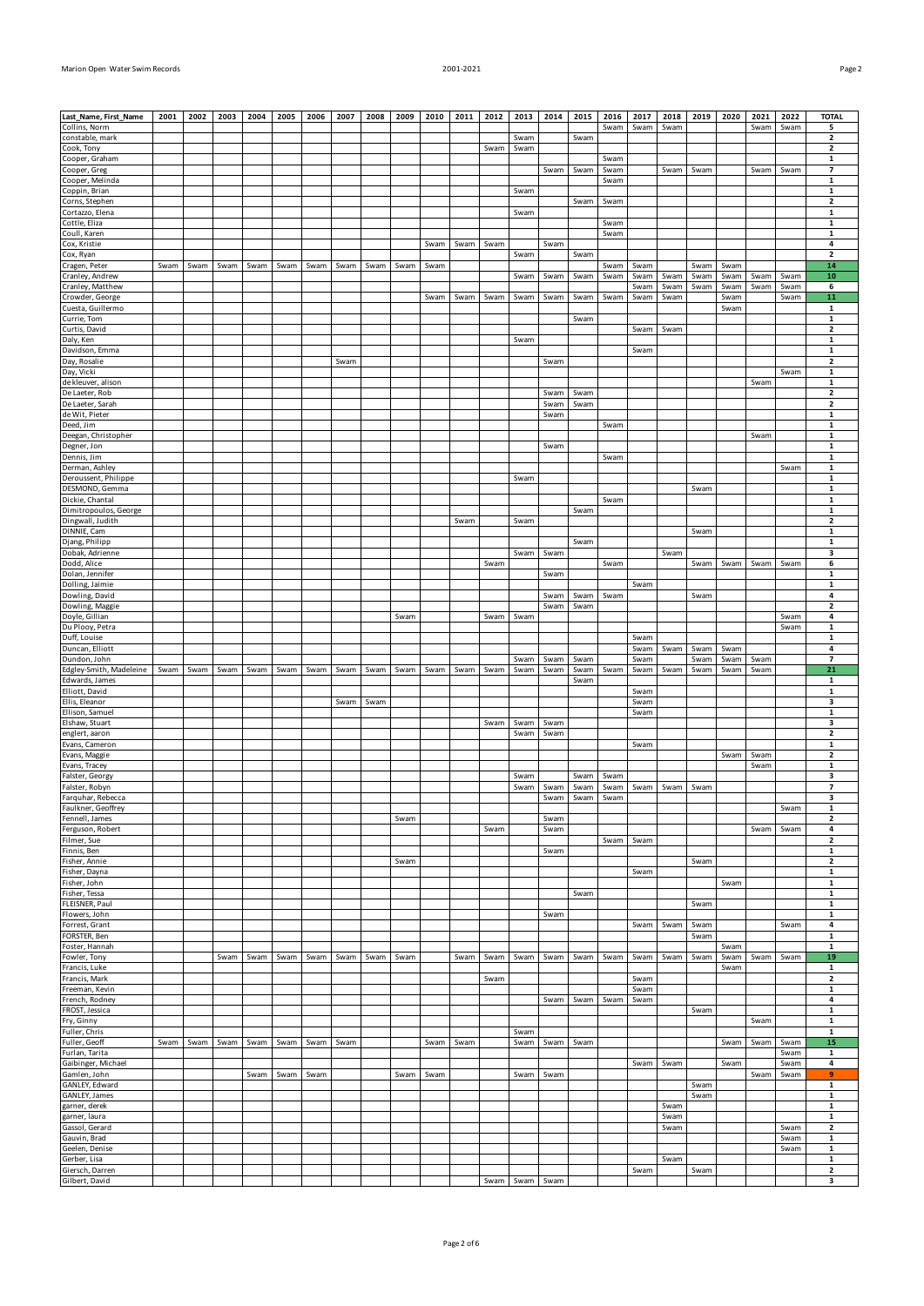| ٠ |  |
|---|--|

| Last_Name, First_Name                    | 2001 | 2002 | 2003 | 2004 | 2005 | 2006 | 2007 | 2008 | 2009 | 2010 | 2011 | 2012 | 2013 | 2014 | 2015                   | 2016         | 2017         | 2018         | 2019         | 2020         | 2021         | 2022         | <b>TOTAL</b>                           |
|------------------------------------------|------|------|------|------|------|------|------|------|------|------|------|------|------|------|------------------------|--------------|--------------|--------------|--------------|--------------|--------------|--------------|----------------------------------------|
| Collins, Norm                            |      |      |      |      |      |      |      |      |      |      |      |      |      |      |                        | Swam         | Swam         | Swam         |              |              | Swam         | Swam         | 5                                      |
| constable, mark                          |      |      |      |      |      |      |      |      |      |      |      |      | Swam |      | Swam                   |              |              |              |              |              |              |              | $\overline{\mathbf{2}}$                |
| Cook, Tony                               |      |      |      |      |      |      |      |      |      |      |      | Swam | Swam |      |                        |              |              |              |              |              |              |              | 2                                      |
| Cooper, Graham                           |      |      |      |      |      |      |      |      |      |      |      |      |      | Swam | Swam                   | Swam<br>Swam |              | Swam         | Swam         |              | Swam         | Swam         | $\mathbf 1$<br>7                       |
| Cooper, Greg<br>Cooper, Melinda          |      |      |      |      |      |      |      |      |      |      |      |      |      |      |                        | Swam         |              |              |              |              |              |              | 1                                      |
| Coppin, Brian                            |      |      |      |      |      |      |      |      |      |      |      |      | Swam |      |                        |              |              |              |              |              |              |              | $\mathbf 1$                            |
| Corns, Stephen                           |      |      |      |      |      |      |      |      |      |      |      |      |      |      | Swam                   | Swam         |              |              |              |              |              |              | $\overline{\mathbf{2}}$                |
| Cortazzo, Elena                          |      |      |      |      |      |      |      |      |      |      |      |      | Swam |      |                        |              |              |              |              |              |              |              | $\mathbf 1$                            |
| Cottle, Eliza<br>Coull, Karen            |      |      |      |      |      |      |      |      |      |      |      |      |      |      |                        | Swam<br>Swam |              |              |              |              |              |              | 1<br>$\mathbf 1$                       |
| Cox, Kristie                             |      |      |      |      |      |      |      |      |      | Swam | Swam | Swam |      | Swam |                        |              |              |              |              |              |              |              | 4                                      |
| Cox, Ryan                                |      |      |      |      |      |      |      |      |      |      |      |      | Swam |      | Swam                   |              |              |              |              |              |              |              | 2                                      |
| Cragen, Peter                            | Swam | Swam | Swam | Swam | Swam | Swam | Swam | Swam | Swam | Swam |      |      |      |      |                        | Swam         | Swam         |              | Swam         | Swam         |              |              | 14                                     |
| Cranley, Andrew<br>Cranley, Matthew      |      |      |      |      |      |      |      |      |      |      |      |      | Swam | Swam | Swam                   | Swam         | Swam<br>Swam | Swam<br>Swam | Swam<br>Swam | Swam<br>Swam | Swam<br>Swam | Swam<br>Swam | 10<br>6                                |
| Crowder, George                          |      |      |      |      |      |      |      |      |      | Swam | Swam | Swam | Swam | Swam | Swam                   | Swam         | Swam         | Swam         |              | Swam         |              | Swam         | 11                                     |
| Cuesta, Guillermo                        |      |      |      |      |      |      |      |      |      |      |      |      |      |      |                        |              |              |              |              | Swam         |              |              | $\mathbf 1$                            |
| Currie, Tom                              |      |      |      |      |      |      |      |      |      |      |      |      |      |      | Swam                   |              |              |              |              |              |              |              | $\mathbf 1$                            |
| Curtis, David<br>Daly, Ken               |      |      |      |      |      |      |      |      |      |      |      |      | Swam |      |                        |              | Swam         | Swam         |              |              |              |              | 2<br>$\mathbf 1$                       |
| Davidson, Emma                           |      |      |      |      |      |      |      |      |      |      |      |      |      |      |                        |              | Swam         |              |              |              |              |              | 1                                      |
| Day, Rosalie                             |      |      |      |      |      |      | Swam |      |      |      |      |      |      | Swam |                        |              |              |              |              |              |              |              | $\overline{\mathbf{2}}$                |
| Day, Vicki                               |      |      |      |      |      |      |      |      |      |      |      |      |      |      |                        |              |              |              |              |              |              | Swam         | 1                                      |
| de kleuver, alison<br>De Laeter, Rob     |      |      |      |      |      |      |      |      |      |      |      |      |      | Swam | Swam                   |              |              |              |              |              | Swam         |              | $\mathbf 1$<br>$\overline{\mathbf{2}}$ |
| De Laeter, Sarah                         |      |      |      |      |      |      |      |      |      |      |      |      |      | Swam | Swam                   |              |              |              |              |              |              |              | 2                                      |
| de Wit, Pieter                           |      |      |      |      |      |      |      |      |      |      |      |      |      | Swam |                        |              |              |              |              |              |              |              | $\mathbf 1$                            |
| Deed, Jim                                |      |      |      |      |      |      |      |      |      |      |      |      |      |      |                        | Swam         |              |              |              |              |              |              | 1                                      |
| Deegan, Christopher                      |      |      |      |      |      |      |      |      |      |      |      |      |      |      |                        |              |              |              |              |              | Swam         |              | $\mathbf 1$                            |
| Degner, Jon<br>Dennis, Jim               |      |      |      |      |      |      |      |      |      |      |      |      |      | Swam |                        | Swam         |              |              |              |              |              |              | $\mathbf 1$<br>$\mathbf 1$             |
| Derman, Ashley                           |      |      |      |      |      |      |      |      |      |      |      |      |      |      |                        |              |              |              |              |              |              | Swam         | $\mathbf 1$                            |
| Deroussent, Philippe                     |      |      |      |      |      |      |      |      |      |      |      |      | Swam |      |                        |              |              |              |              |              |              |              | 1                                      |
| DESMOND, Gemma                           |      |      |      |      |      |      |      |      |      |      |      |      |      |      |                        |              |              |              | Swam         |              |              |              | $\mathbf 1$                            |
| Dickie, Chantal<br>Dimitropoulos, George |      |      |      |      |      |      |      |      |      |      |      |      |      |      | Swam                   | Swam         |              |              |              |              |              |              | 1<br>$\mathbf 1$                       |
| Dingwall, Judith                         |      |      |      |      |      |      |      |      |      |      | Swam |      | Swam |      |                        |              |              |              |              |              |              |              | $\overline{\mathbf{2}}$                |
| DINNIE, Cam                              |      |      |      |      |      |      |      |      |      |      |      |      |      |      |                        |              |              |              | Swam         |              |              |              | $\mathbf 1$                            |
| Djang, Philipp                           |      |      |      |      |      |      |      |      |      |      |      |      |      |      | Swam                   |              |              |              |              |              |              |              | $\mathbf 1$                            |
| Dobak, Adrienne<br>Dodd, Alice           |      |      |      |      |      |      |      |      |      |      |      | Swam | Swam | Swam |                        | Swam         |              | Swam         | Swam         | Swam         | Swam         | Swam         | з<br>6                                 |
| Dolan, Jennifer                          |      |      |      |      |      |      |      |      |      |      |      |      |      | Swam |                        |              |              |              |              |              |              |              | 1                                      |
| Dolling, Jaimie                          |      |      |      |      |      |      |      |      |      |      |      |      |      |      |                        |              | Swam         |              |              |              |              |              | $\mathbf 1$                            |
| Dowling, David                           |      |      |      |      |      |      |      |      |      |      |      |      |      | Swam | Swam                   | Swam         |              |              | Swam         |              |              |              | 4                                      |
| Dowling, Maggie<br>Doyle, Gillian        |      |      |      |      |      |      |      |      | Swam |      |      | Swam | Swam | Swam | Swam                   |              |              |              |              |              |              | Swam         | 2<br>4                                 |
| Du Plooy, Petra                          |      |      |      |      |      |      |      |      |      |      |      |      |      |      |                        |              |              |              |              |              |              | Swam         | 1                                      |
| Duff, Louise                             |      |      |      |      |      |      |      |      |      |      |      |      |      |      |                        |              | Swam         |              |              |              |              |              | $\mathbf 1$                            |
| Duncan, Elliott                          |      |      |      |      |      |      |      |      |      |      |      |      |      |      |                        |              | Swam         | Swam         | Swam         | Swam         |              |              | 4                                      |
|                                          |      |      |      |      |      |      |      |      |      |      |      |      |      |      |                        |              |              |              |              |              |              |              |                                        |
| Dundon, John                             |      |      |      |      |      |      |      |      |      |      |      |      | Swam | Swam | Swam                   |              | Swam         |              | Swam         | Swam         | Swam         |              | 7                                      |
| Edgley-Smith, Madeleine                  | Swam | Swam | Swam | Swam | Swam | Swam | Swam | Swam | Swam | Swam | Swam | Swam | Swam | Swam | Swam                   | Swam         | Swam         | Swam         | Swam         | Swam         | Swam         |              | 21                                     |
| Edwards, James<br>Elliott, David         |      |      |      |      |      |      |      |      |      |      |      |      |      |      | Swam                   |              | Swam         |              |              |              |              |              | $\mathbf 1$<br>$\mathbf 1$             |
| Ellis, Eleanor                           |      |      |      |      |      |      | Swam | Swam |      |      |      |      |      |      |                        |              | Swam         |              |              |              |              |              | з                                      |
| Ellison, Samuel                          |      |      |      |      |      |      |      |      |      |      |      |      |      |      |                        |              | Swam         |              |              |              |              |              | $\mathbf{1}$                           |
| Elshaw, Stuart                           |      |      |      |      |      |      |      |      |      |      |      | Swam | Swam | Swam |                        |              |              |              |              |              |              |              | з                                      |
| englert, aaron<br>Evans, Cameron         |      |      |      |      |      |      |      |      |      |      |      |      | Swam | Swam |                        |              | Swam         |              |              |              |              |              | 2<br>$\mathbf 1$                       |
| Evans, Maggie                            |      |      |      |      |      |      |      |      |      |      |      |      |      |      |                        |              |              |              |              | Swam         | Swam         |              | 2                                      |
| Evans, Tracey                            |      |      |      |      |      |      |      |      |      |      |      |      |      |      |                        |              |              |              |              |              | Swam         |              | $\mathbf 1$                            |
| Falster, Georgy                          |      |      |      |      |      |      |      |      |      |      |      |      | Swam |      | Swam                   | Swam         |              |              |              |              |              |              | з                                      |
| Falster, Robyn<br>Farquhar, Rebecca      |      |      |      |      |      |      |      |      |      |      |      |      | Swam | Swam | Swam<br>Swam Swam Swam | Swam         | Swam         | Swam         | Swam         |              |              |              | 7<br>з                                 |
| Faulkner, Geoffrey                       |      |      |      |      |      |      |      |      |      |      |      |      |      |      |                        |              |              |              |              |              |              | Swam         | $\mathbf 1$                            |
| Fennell, James                           |      |      |      |      |      |      |      |      | Swam |      |      |      |      | Swam |                        |              |              |              |              |              |              |              | $\overline{\mathbf{2}}$                |
| Ferguson, Robert                         |      |      |      |      |      |      |      |      |      |      |      | Swam |      | Swam |                        |              |              |              |              |              | Swam         | Swam         | 4                                      |
| Filmer, Sue<br>Finnis, Ben               |      |      |      |      |      |      |      |      |      |      |      |      |      | Swam |                        | Swam         | Swam         |              |              |              |              |              | 2<br>1                                 |
| Fisher, Annie                            |      |      |      |      |      |      |      |      | Swam |      |      |      |      |      |                        |              |              |              | Swam         |              |              |              | $\overline{2}$                         |
| Fisher, Dayna                            |      |      |      |      |      |      |      |      |      |      |      |      |      |      |                        |              | Swam         |              |              |              |              |              | $\mathbf 1$                            |
| Fisher, John                             |      |      |      |      |      |      |      |      |      |      |      |      |      |      |                        |              |              |              |              | Swam         |              |              | $\mathbf 1$                            |
| Fisher, Tessa<br>FLEISNER, Paul          |      |      |      |      |      |      |      |      |      |      |      |      |      |      | Swam                   |              |              |              | Swam         |              |              |              | 1<br>1                                 |
| Flowers, John                            |      |      |      |      |      |      |      |      |      |      |      |      |      | Swam |                        |              |              |              |              |              |              |              | $\mathbf 1$                            |
| Forrest, Grant                           |      |      |      |      |      |      |      |      |      |      |      |      |      |      |                        |              | Swam         | Swam         | Swam         |              |              | Swam         | 4                                      |
| FORSTER, Ben                             |      |      |      |      |      |      |      |      |      |      |      |      |      |      |                        |              |              |              | Swam         |              |              |              | $\mathbf{1}$                           |
| Foster, Hannah<br>Fowler, Tony           |      |      | Swam | Swam | Swam | Swam | Swam | Swam | Swam |      | Swam | Swam | Swam | Swam | Swam                   | Swam         | Swam         | Swam         |              | Swam<br>Swam | Swam         | Swam         | $\mathbf{1}$<br>19                     |
| Francis, Luke                            |      |      |      |      |      |      |      |      |      |      |      |      |      |      |                        |              |              |              | Swam         | Swam         |              |              | $\mathbf{1}$                           |
| Francis, Mark                            |      |      |      |      |      |      |      |      |      |      |      | Swam |      |      |                        |              | Swam         |              |              |              |              |              | 2                                      |
| Freeman, Kevin                           |      |      |      |      |      |      |      |      |      |      |      |      |      |      |                        |              | Swam         |              |              |              |              |              | 1                                      |
| French, Rodney<br>FROST, Jessica         |      |      |      |      |      |      |      |      |      |      |      |      |      | Swam | Swam                   | Swam         | Swam         |              | Swam         |              |              |              | 4<br>$\mathbf 1$                       |
| Fry, Ginny                               |      |      |      |      |      |      |      |      |      |      |      |      |      |      |                        |              |              |              |              |              | Swam         |              | $\mathbf{1}$                           |
| Fuller, Chris                            |      |      |      |      |      |      |      |      |      |      |      |      | Swam |      |                        |              |              |              |              |              |              |              | 1                                      |
| Fuller, Geoff                            | Swam | Swam | Swam | Swam | Swam | Swam | Swam |      |      | Swam | Swam |      | Swam | Swam | Swam                   |              |              |              |              | Swam         | Swam         | Swam         | 15                                     |
| Furlan, Tarita                           |      |      |      |      |      |      |      |      |      |      |      |      |      |      |                        |              | Swam         | Swam         |              | Swam         |              | Swam<br>Swam | $\mathbf{1}$<br>4                      |
| Gaibinger, Michael<br>Gamlen, John       |      |      |      | Swam | Swam | Swam |      |      | Swam | Swam |      |      | Swam | Swam |                        |              |              |              |              |              | Swam         | Swam         | 9                                      |
| GANLEY, Edward                           |      |      |      |      |      |      |      |      |      |      |      |      |      |      |                        |              |              |              | Swam         |              |              |              | $\mathbf 1$                            |
| GANLEY, James                            |      |      |      |      |      |      |      |      |      |      |      |      |      |      |                        |              |              |              | Swam         |              |              |              | $\mathbf 1$                            |
| garner, derek                            |      |      |      |      |      |      |      |      |      |      |      |      |      |      |                        |              |              | Swam         |              |              |              |              | $\mathbf 1$<br>$\mathbf 1$             |
| garner, laura<br>Gassol, Gerard          |      |      |      |      |      |      |      |      |      |      |      |      |      |      |                        |              |              | Swam<br>Swam |              |              |              | Swam         | 2                                      |
| Gauvin, Brad                             |      |      |      |      |      |      |      |      |      |      |      |      |      |      |                        |              |              |              |              |              |              | Swam         | $\mathbf 1$                            |
| Geelen, Denise                           |      |      |      |      |      |      |      |      |      |      |      |      |      |      |                        |              |              |              |              |              |              | Swam         | 1                                      |
| Gerber, Lisa<br>Giersch, Darren          |      |      |      |      |      |      |      |      |      |      |      |      |      |      |                        |              | Swam         | Swam         | Swam         |              |              |              | $\mathbf 1$<br>$\overline{\mathbf{2}}$ |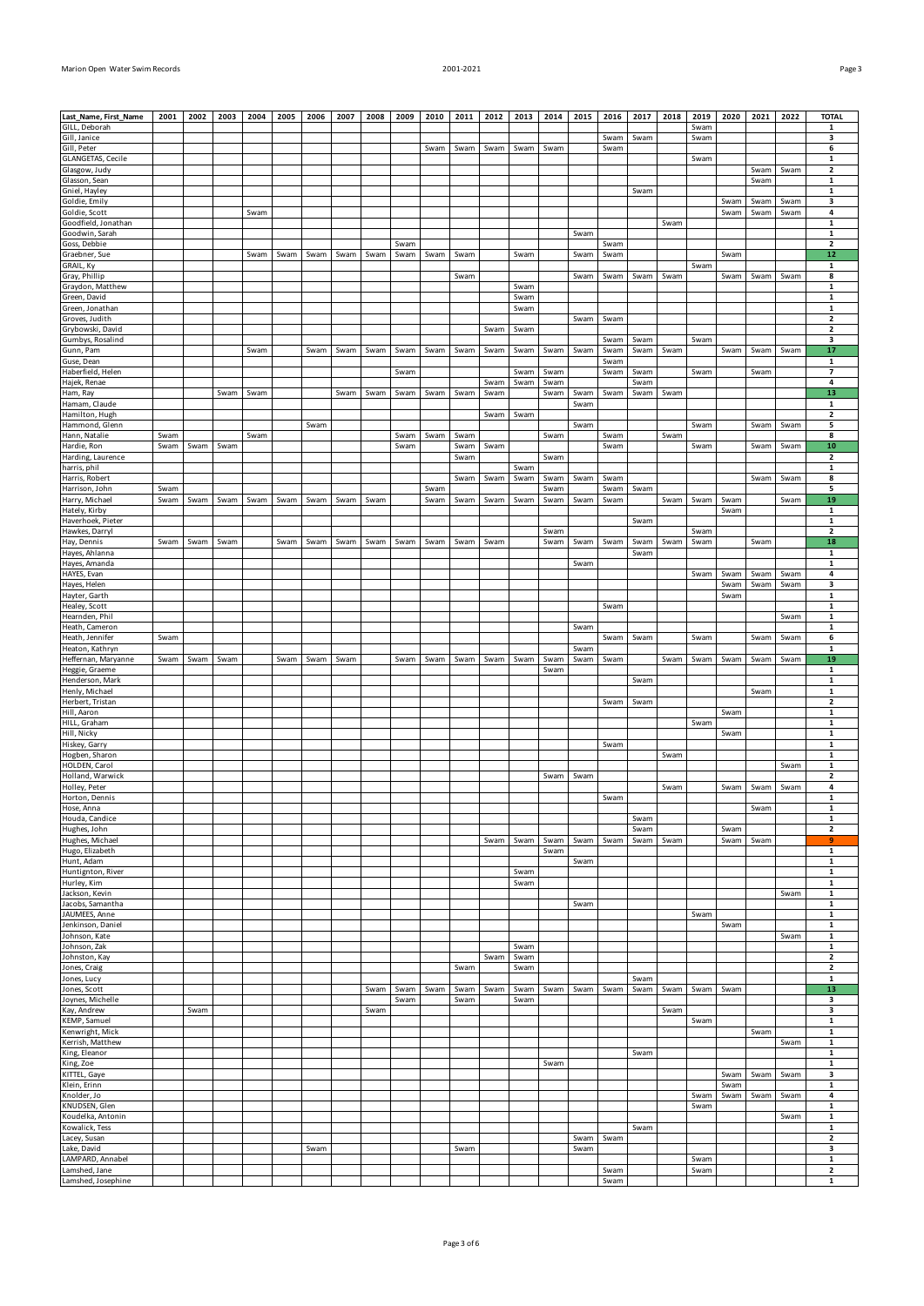| Last_Name, First_Name               | 2001 | 2002 | 2003 | 2004 | 2005 | 2006 | 2007 | 2008 | 2009         | 2010 |              |      | 2011 2012 2013 | 2014         | 2015 | 2016         | 2017 | 2018 | 2019 | 2020 | 2021 | 2022 | <b>TOTAL</b>                  |
|-------------------------------------|------|------|------|------|------|------|------|------|--------------|------|--------------|------|----------------|--------------|------|--------------|------|------|------|------|------|------|-------------------------------|
| GILL, Deborah                       |      |      |      |      |      |      |      |      |              |      |              |      |                |              |      |              |      |      | Swam |      |      |      | 1                             |
| Gill, Janice<br>Gill, Peter         |      |      |      |      |      |      |      |      |              | Swam | Swam         | Swam | Swam           | Swam         |      | Swam<br>Swam | Swam |      | Swam |      |      |      | 3<br>6                        |
| GLANGETAS, Cecile                   |      |      |      |      |      |      |      |      |              |      |              |      |                |              |      |              |      |      | Swam |      |      |      | 1                             |
| Glasgow, Judy                       |      |      |      |      |      |      |      |      |              |      |              |      |                |              |      |              |      |      |      |      | Swam | Swam | $\mathbf{2}$                  |
| Glasson, Sean                       |      |      |      |      |      |      |      |      |              |      |              |      |                |              |      |              |      |      |      |      | Swam |      | $\mathbf{1}$                  |
| Gniel, Hayley                       |      |      |      |      |      |      |      |      |              |      |              |      |                |              |      |              | Swam |      |      |      |      |      | 1                             |
| Goldie, Emily                       |      |      |      |      |      |      |      |      |              |      |              |      |                |              |      |              |      |      |      | Swam | Swam | Swam | 3                             |
| Goldie, Scott                       |      |      |      | Swam |      |      |      |      |              |      |              |      |                |              |      |              |      |      |      | Swam | Swam | Swam | 4                             |
| Goodfield, Jonathan                 |      |      |      |      |      |      |      |      |              |      |              |      |                |              |      |              |      | Swam |      |      |      |      | $\mathbf{1}$                  |
| Goodwin, Sarah                      |      |      |      |      |      |      |      |      |              |      |              |      |                |              | Swam |              |      |      |      |      |      |      | $\mathbf{1}$                  |
| Goss, Debbie                        |      |      |      |      |      |      |      |      | Swam         |      |              |      |                |              |      | Swam         |      |      |      |      |      |      | $\mathbf{2}$                  |
| Graebner, Sue                       |      |      |      | Swam | Swam | Swam | Swam | Swam | Swam         | Swam | Swam         |      | Swam           |              | Swam | Swam         |      |      |      | Swam |      |      | 12                            |
| GRAIL, Ky<br>Gray, Phillip          |      |      |      |      |      |      |      |      |              |      |              |      |                |              | Swam | Swam         |      | Swam | Swam |      |      | Swam | 1<br>8                        |
| Graydon, Matthew                    |      |      |      |      |      |      |      |      |              |      | Swam         |      | Swam           |              |      |              | Swam |      |      | Swam | Swam |      | 1                             |
| Green, David                        |      |      |      |      |      |      |      |      |              |      |              |      | Swam           |              |      |              |      |      |      |      |      |      | $\mathbf{1}$                  |
| Green, Jonathan                     |      |      |      |      |      |      |      |      |              |      |              |      | Swam           |              |      |              |      |      |      |      |      |      | $\mathbf{1}$                  |
| Groves, Judith                      |      |      |      |      |      |      |      |      |              |      |              |      |                |              | Swam | Swam         |      |      |      |      |      |      | $\mathbf{2}$                  |
| Grybowski, David                    |      |      |      |      |      |      |      |      |              |      |              | Swam | Swam           |              |      |              |      |      |      |      |      |      | $\overline{2}$                |
| Gumbys, Rosalind                    |      |      |      |      |      |      |      |      |              |      |              |      |                |              |      | Swam         | Swam |      | Swam |      |      |      | 3                             |
| Gunn, Pam                           |      |      |      | Swam |      | Swam | Swam | Swam | Swam         | Swam | Swam         | Swam | Swam           | Swam         | Swam | Swam         | Swam | Swam |      | Swam | Swam | Swam | 17                            |
| Guse, Dean                          |      |      |      |      |      |      |      |      |              |      |              |      |                |              |      | Swam         |      |      |      |      |      |      | 1                             |
| Haberfield, Helen                   |      |      |      |      |      |      |      |      | Swam         |      |              |      | Swam           | Swam         |      | Swam         | Swam |      | Swam |      | Swam |      | $\overline{\phantom{a}}$      |
| Hajek, Renae                        |      |      |      |      |      |      |      |      |              |      |              | Swam | Swam           | Swam         |      |              | Swam |      |      |      |      |      | 4                             |
| Ham, Ray                            |      |      | Swam | Swam |      |      | Swam | Swam | Swam         | Swam | Swam         | Swam |                | Swam         | Swam | Swam         | Swam | Swam |      |      |      |      | 13                            |
| Hamam, Claude                       |      |      |      |      |      |      |      |      |              |      |              |      |                |              | Swam |              |      |      |      |      |      |      | $\mathbf{1}$                  |
| Hamilton, Hugh                      |      |      |      |      |      |      |      |      |              |      |              | Swam | Swam           |              |      |              |      |      |      |      |      |      | $\mathbf{2}$                  |
| Hammond, Glenn                      |      |      |      |      |      | Swam |      |      |              |      |              |      |                |              | Swam |              |      |      | Swam |      | Swam | Swam | 5                             |
| Hann, Natalie                       | Swam |      |      | Swam |      |      |      |      | Swam         | Swam | Swam         |      |                | Swam         |      | Swam         |      | Swam |      |      |      |      | 8                             |
| Hardie, Ron                         | Swam | Swam | Swam |      |      |      |      |      | Swam         |      | Swam         | Swam |                |              |      | Swam         |      |      | Swam |      | Swam | Swam | 10                            |
| Harding, Laurence                   |      |      |      |      |      |      |      |      |              |      | Swam         |      |                | Swam         |      |              |      |      |      |      |      |      | $\overline{2}$<br>$\mathbf 1$ |
| harris, phil<br>Harris, Robert      |      |      |      |      |      |      |      |      |              |      | Swam         | Swam | Swam<br>Swam   | Swam         | Swam | Swam         |      |      |      |      | Swam | Swam | 8                             |
| Harrison, John                      | Swam |      |      |      |      |      |      |      |              | Swam |              |      |                | Swam         |      | Swam         | Swam |      |      |      |      |      | 5                             |
| Harry, Michael                      | Swam | Swam | Swam | Swam | Swam | Swam | Swam | Swam |              | Swam | Swam         | Swam | Swam           | Swam         | Swam | Swam         |      | Swam | Swam | Swam |      | Swam | 19                            |
| Hately, Kirby                       |      |      |      |      |      |      |      |      |              |      |              |      |                |              |      |              |      |      |      | Swam |      |      | 1                             |
| Haverhoek, Pieter                   |      |      |      |      |      |      |      |      |              |      |              |      |                |              |      |              | Swam |      |      |      |      |      | $\mathbf 1$                   |
| Hawkes, Darryl                      |      |      |      |      |      |      |      |      |              |      |              |      |                | Swam         |      |              |      |      | Swam |      |      |      | $\overline{\mathbf{2}}$       |
| Hay, Dennis                         | Swam | Swam | Swam |      | Swam | Swam | Swam | Swam | Swam         | Swam | Swam         | Swam |                | Swam         | Swam | Swam         | Swam | Swam | Swam |      | Swam |      | 18                            |
| Hayes, Ahlanna                      |      |      |      |      |      |      |      |      |              |      |              |      |                |              |      |              | Swam |      |      |      |      |      | $\mathbf{1}$                  |
| Hayes, Amanda                       |      |      |      |      |      |      |      |      |              |      |              |      |                |              | Swam |              |      |      |      |      |      |      | 1                             |
| HAYES, Evan                         |      |      |      |      |      |      |      |      |              |      |              |      |                |              |      |              |      |      | Swam | Swam | Swam | Swam | 4                             |
| Hayes, Helen                        |      |      |      |      |      |      |      |      |              |      |              |      |                |              |      |              |      |      |      | Swam | Swam | Swam | 3                             |
| Hayter, Garth                       |      |      |      |      |      |      |      |      |              |      |              |      |                |              |      |              |      |      |      | Swam |      |      | $\mathbf 1$                   |
| Healey, Scott                       |      |      |      |      |      |      |      |      |              |      |              |      |                |              |      | Swam         |      |      |      |      |      |      | $\mathbf 1$                   |
| Hearnden, Phil                      |      |      |      |      |      |      |      |      |              |      |              |      |                |              |      |              |      |      |      |      |      | Swam | $\mathbf{1}$                  |
| Heath, Cameron                      |      |      |      |      |      |      |      |      |              |      |              |      |                |              | Swam |              |      |      |      |      |      |      | $\mathbf 1$                   |
| Heath, Jennifer                     | Swam |      |      |      |      |      |      |      |              |      |              |      |                |              |      | Swam         | Swam |      | Swam |      | Swam | Swam | 6                             |
|                                     |      |      |      |      |      |      |      |      |              |      |              |      |                |              |      |              |      |      |      |      |      |      |                               |
| Heaton, Kathryn                     |      |      |      |      |      |      |      |      |              |      |              |      |                |              | Swam |              |      |      |      |      |      |      | $\mathbf{1}$                  |
| Heffernan, Maryanne                 | Swam | Swam | Swam |      | Swam | Swam | Swam |      | Swam         | Swam | Swam         | Swam | Swam           | Swam         | Swam | Swam         |      | Swam | Swam | Swam | Swam | Swam | 19                            |
| Heggie, Graeme                      |      |      |      |      |      |      |      |      |              |      |              |      |                | Swam         |      |              |      |      |      |      |      |      | $\mathbf 1$                   |
| Henderson, Mark                     |      |      |      |      |      |      |      |      |              |      |              |      |                |              |      |              | Swam |      |      |      |      |      | $\mathbf{1}$                  |
| Henly, Michael                      |      |      |      |      |      |      |      |      |              |      |              |      |                |              |      |              |      |      |      |      | Swam |      | $\mathbf{1}$                  |
| Herbert, Tristan<br>Hill, Aaron     |      |      |      |      |      |      |      |      |              |      |              |      |                |              |      | Swam         | Swam |      |      | Swam |      |      | $\mathbf{2}$<br>1             |
| HILL, Graham                        |      |      |      |      |      |      |      |      |              |      |              |      |                |              |      |              |      |      | Swam |      |      |      | $\mathbf{1}$                  |
| Hill, Nicky                         |      |      |      |      |      |      |      |      |              |      |              |      |                |              |      |              |      |      |      | Swam |      |      | $\mathbf{1}$                  |
| Hiskey, Garry                       |      |      |      |      |      |      |      |      |              |      |              |      |                |              |      | Swam         |      |      |      |      |      |      | $\mathbf 1$                   |
| Hogben, Sharon                      |      |      |      |      |      |      |      |      |              |      |              |      |                |              |      |              |      | Swam |      |      |      |      | $\mathbf 1$                   |
| HOLDEN, Carol                       |      |      |      |      |      |      |      |      |              |      |              |      |                |              |      |              |      |      |      |      |      | Swam | $\mathbf{1}$                  |
| Holland, Warwick                    |      |      |      |      |      |      |      |      |              |      |              |      |                | Swam         | Swam |              |      |      |      |      |      |      | $\mathbf{2}$                  |
| Holley, Peter                       |      |      |      |      |      |      |      |      |              |      |              |      |                |              |      |              |      | Swam |      | Swam | Swam | Swam | 4                             |
| Horton, Dennis                      |      |      |      |      |      |      |      |      |              |      |              |      |                |              |      | Swam         |      |      |      |      |      |      | $\mathbf 1$                   |
| Hose, Anna                          |      |      |      |      |      |      |      |      |              |      |              |      |                |              |      |              |      |      |      |      | Swam |      | $\mathbf{1}$                  |
| Houda, Candice                      |      |      |      |      |      |      |      |      |              |      |              |      |                |              |      |              | Swam |      |      |      |      |      | $\mathbf 1$                   |
| Hughes, John                        |      |      |      |      |      |      |      |      |              |      |              |      |                |              |      |              | Swam |      |      | Swam |      |      | $\overline{\mathbf{2}}$<br>9  |
| Hughes, Michael                     |      |      |      |      |      |      |      |      |              |      |              | Swam | Swam           | Swam<br>Swam | Swam | Swam         | Swam | Swam |      | Swam | Swam |      | $\mathbf{1}$                  |
| Hugo, Elizabeth<br>Hunt, Adam       |      |      |      |      |      |      |      |      |              |      |              |      |                |              | Swam |              |      |      |      |      |      |      | 1                             |
| Huntignton, River                   |      |      |      |      |      |      |      |      |              |      |              |      | Swam           |              |      |              |      |      |      |      |      |      | $\mathbf 1$                   |
| Hurley, Kim                         |      |      |      |      |      |      |      |      |              |      |              |      | Swam           |              |      |              |      |      |      |      |      |      | $\mathbf{1}$                  |
| Jackson, Kevin                      |      |      |      |      |      |      |      |      |              |      |              |      |                |              |      |              |      |      |      |      |      | Swam | $\mathbf 1$                   |
| Jacobs, Samantha                    |      |      |      |      |      |      |      |      |              |      |              |      |                |              | Swam |              |      |      |      |      |      |      | $\mathbf 1$                   |
| JAUMEES, Anne                       |      |      |      |      |      |      |      |      |              |      |              |      |                |              |      |              |      |      | Swam |      |      |      | 1                             |
| Jenkinson, Daniel                   |      |      |      |      |      |      |      |      |              |      |              |      |                |              |      |              |      |      |      | Swam |      |      | $\mathbf{1}$                  |
| Johnson, Kate                       |      |      |      |      |      |      |      |      |              |      |              |      |                |              |      |              |      |      |      |      |      | Swam | 1                             |
| Johnson, Zak                        |      |      |      |      |      |      |      |      |              |      |              |      | Swam           |              |      |              |      |      |      |      |      |      | $\mathbf 1$                   |
| Johnston, Kay                       |      |      |      |      |      |      |      |      |              |      |              | Swam | Swam           |              |      |              |      |      |      |      |      |      | $\mathbf{2}$                  |
| Jones, Craig                        |      |      |      |      |      |      |      |      |              |      | Swam         |      | Swam           |              |      |              |      |      |      |      |      |      | 2                             |
| Jones, Lucy                         |      |      |      |      |      |      |      |      |              |      |              |      |                |              |      |              | Swam |      |      |      |      |      | $\mathbf 1$                   |
| Jones, Scott                        |      |      |      |      |      |      |      | Swam | Swam<br>Swam | Swam | Swam<br>Swam | Swam | Swam<br>Swam   | Swam         | Swam | Swam         | Swam | Swam | Swam | Swam |      |      | 13<br>3                       |
| Joynes, Michelle                    |      | Swam |      |      |      |      |      |      |              |      |              |      |                |              |      |              |      | Swam |      |      |      |      | 3                             |
| Kay, Andrew<br>KEMP, Samuel         |      |      |      |      |      |      |      | Swam |              |      |              |      |                |              |      |              |      |      | Swam |      |      |      | $\mathbf{1}$                  |
| Kenwright, Mick                     |      |      |      |      |      |      |      |      |              |      |              |      |                |              |      |              |      |      |      |      | Swam |      | $\mathbf{1}$                  |
| Kerrish, Matthew                    |      |      |      |      |      |      |      |      |              |      |              |      |                |              |      |              |      |      |      |      |      | Swam | 1                             |
| King, Eleanor                       |      |      |      |      |      |      |      |      |              |      |              |      |                |              |      |              | Swam |      |      |      |      |      | $\mathbf{1}$                  |
| King, Zoe                           |      |      |      |      |      |      |      |      |              |      |              |      |                | Swam         |      |              |      |      |      |      |      |      | 1                             |
| KITTEL, Gaye                        |      |      |      |      |      |      |      |      |              |      |              |      |                |              |      |              |      |      |      | Swam | Swam | Swam | 3                             |
| Klein, Erinn                        |      |      |      |      |      |      |      |      |              |      |              |      |                |              |      |              |      |      |      | Swam |      |      | $\mathbf{1}$                  |
| Knolder, Jo                         |      |      |      |      |      |      |      |      |              |      |              |      |                |              |      |              |      |      | Swam | Swam | Swam | Swam | 4                             |
| KNUDSEN, Glen                       |      |      |      |      |      |      |      |      |              |      |              |      |                |              |      |              |      |      | Swam |      |      |      | $\mathbf{1}$                  |
| Koudelka, Antonin                   |      |      |      |      |      |      |      |      |              |      |              |      |                |              |      |              |      |      |      |      |      | Swam | $\mathbf{1}$                  |
| Kowalick, Tess                      |      |      |      |      |      |      |      |      |              |      |              |      |                |              |      |              | Swam |      |      |      |      |      | $\mathbf{1}$                  |
| Lacey, Susan                        |      |      |      |      |      |      |      |      |              |      |              |      |                |              | Swam | Swam         |      |      |      |      |      |      | $\mathbf{2}$                  |
| Lake, David                         |      |      |      |      |      | Swam |      |      |              |      | Swam         |      |                |              | Swam |              |      |      |      |      |      |      | 3                             |
| LAMPARD, Annabel                    |      |      |      |      |      |      |      |      |              |      |              |      |                |              |      |              |      |      | Swam |      |      |      | $\mathbf{1}$                  |
| Lamshed, Jane<br>Lamshed, Josephine |      |      |      |      |      |      |      |      |              |      |              |      |                |              |      | Swam<br>Swam |      |      | Swam |      |      |      | $\mathbf{2}$<br>$\mathbf{1}$  |

Page 3 of 6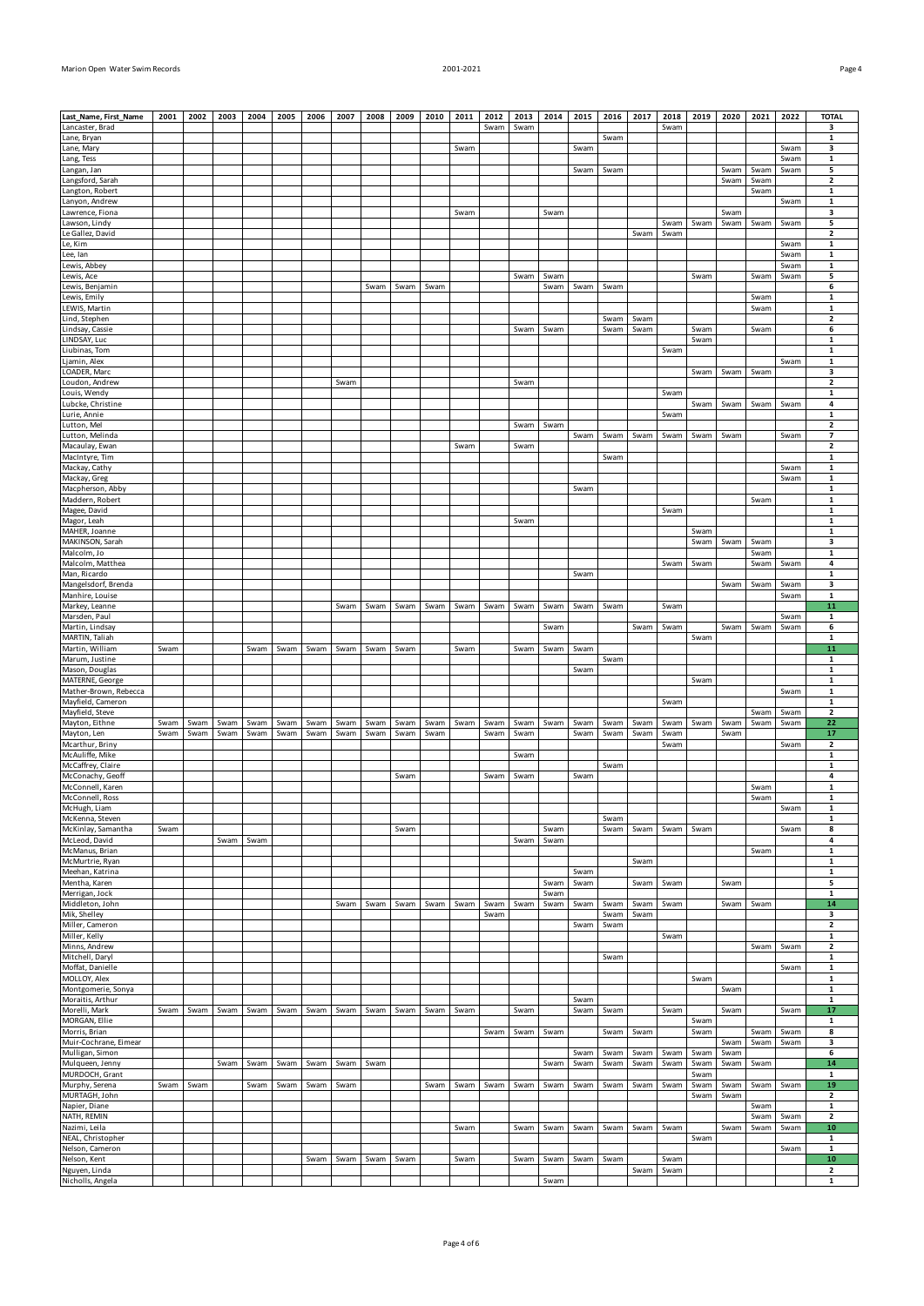| Marion Open Water Swim Records | 2001-2021 | Page 4 |
|--------------------------------|-----------|--------|

| Last_Name, First_Name                 | 2001 | 2002 | 2003 | 2004 | 2005 | 2006 | 2007 | 2008 | 2009 | 2010 | 2011 | 2012 | 2013 | 2014         | 2015 | 2016 | 2017 | 2018         | 2019         | 2020         | 2021         | 2022 | <b>TOTAL</b>                 |
|---------------------------------------|------|------|------|------|------|------|------|------|------|------|------|------|------|--------------|------|------|------|--------------|--------------|--------------|--------------|------|------------------------------|
| Lancaster, Brad                       |      |      |      |      |      |      |      |      |      |      |      | Swam | Swam |              |      |      |      | Swam         |              |              |              |      | 3                            |
| Lane, Bryan                           |      |      |      |      |      |      |      |      |      |      |      |      |      |              |      | Swam |      |              |              |              |              |      | 1                            |
| Lane, Mary                            |      |      |      |      |      |      |      |      |      |      | Swam |      |      |              | Swam |      |      |              |              |              |              | Swam | з                            |
| Lang, Tess                            |      |      |      |      |      |      |      |      |      |      |      |      |      |              |      |      |      |              |              |              |              | Swam | 1                            |
| Langan, Jan<br>Langsford, Sarah       |      |      |      |      |      |      |      |      |      |      |      |      |      |              | Swam | Swam |      |              |              | Swam<br>Swam | Swam<br>Swam | Swam | 5<br>$\overline{\mathbf{2}}$ |
| Langton, Robert                       |      |      |      |      |      |      |      |      |      |      |      |      |      |              |      |      |      |              |              |              | Swam         |      | 1                            |
| Lanyon, Andrew                        |      |      |      |      |      |      |      |      |      |      |      |      |      |              |      |      |      |              |              |              |              | Swam | $\mathbf 1$                  |
| Lawrence, Fiona                       |      |      |      |      |      |      |      |      |      |      | Swam |      |      | Swam         |      |      |      |              |              | Swam         |              |      | з                            |
| Lawson, Lindy                         |      |      |      |      |      |      |      |      |      |      |      |      |      |              |      |      |      | Swam         | Swam         | Swam         | Swam         | Swam | 5                            |
| Le Gallez, David                      |      |      |      |      |      |      |      |      |      |      |      |      |      |              |      |      | Swam | Swam         |              |              |              |      | $\overline{\mathbf{2}}$      |
| Le, Kim                               |      |      |      |      |      |      |      |      |      |      |      |      |      |              |      |      |      |              |              |              |              | Swam | 1                            |
| Lee, Ian                              |      |      |      |      |      |      |      |      |      |      |      |      |      |              |      |      |      |              |              |              |              | Swam | $\mathbf 1$                  |
| Lewis, Abbey                          |      |      |      |      |      |      |      |      |      |      |      |      |      |              |      |      |      |              |              |              |              | Swam | 1                            |
| Lewis, Ace<br>Lewis, Benjamin         |      |      |      |      |      |      |      | Swam | Swam | Swam |      |      | Swam | Swam<br>Swam | Swam | Swam |      |              | Swam         |              | Swam         | Swam | 5<br>6                       |
| Lewis, Emily                          |      |      |      |      |      |      |      |      |      |      |      |      |      |              |      |      |      |              |              |              | Swam         |      | 1                            |
| LEWIS, Martin                         |      |      |      |      |      |      |      |      |      |      |      |      |      |              |      |      |      |              |              |              | Swam         |      | $\mathbf 1$                  |
| Lind, Stephen                         |      |      |      |      |      |      |      |      |      |      |      |      |      |              |      | Swam | Swam |              |              |              |              |      | 2                            |
| Lindsay, Cassie                       |      |      |      |      |      |      |      |      |      |      |      |      | Swam | Swam         |      | Swam | Swam |              | Swam         |              | Swam         |      | 6                            |
| LINDSAY, Luc                          |      |      |      |      |      |      |      |      |      |      |      |      |      |              |      |      |      |              | Swam         |              |              |      | 1                            |
| Liubinas, Tom                         |      |      |      |      |      |      |      |      |      |      |      |      |      |              |      |      |      | Swam         |              |              |              |      | $\mathbf 1$                  |
| Ljamin, Alex                          |      |      |      |      |      |      |      |      |      |      |      |      |      |              |      |      |      |              |              |              |              | Swam | 1                            |
| LOADER, Marc                          |      |      |      |      |      |      |      |      |      |      |      |      |      |              |      |      |      |              | Swam         | Swam         | Swam         |      | 3                            |
| Loudon, Andrew                        |      |      |      |      |      |      | Swam |      |      |      |      |      | Swam |              |      |      |      |              |              |              |              |      | $\overline{\mathbf{2}}$      |
| Louis, Wendy<br>Lubcke, Christine     |      |      |      |      |      |      |      |      |      |      |      |      |      |              |      |      |      | Swam         | Swam         | Swam         | Swam         | Swam | 1<br>4                       |
| Lurie, Annie                          |      |      |      |      |      |      |      |      |      |      |      |      |      |              |      |      |      | Swam         |              |              |              |      | 1                            |
| Lutton, Mel                           |      |      |      |      |      |      |      |      |      |      |      |      | Swam | Swam         |      |      |      |              |              |              |              |      | $\overline{\mathbf{2}}$      |
| Lutton, Melinda                       |      |      |      |      |      |      |      |      |      |      |      |      |      |              | Swam | Swam | Swam | Swam         | Swam         | Swam         |              | Swam | 7                            |
| Macaulay, Ewan                        |      |      |      |      |      |      |      |      |      |      | Swam |      | Swam |              |      |      |      |              |              |              |              |      | 2                            |
| MacIntyre, Tim                        |      |      |      |      |      |      |      |      |      |      |      |      |      |              |      | Swam |      |              |              |              |              |      | $\mathbf 1$                  |
| Mackay, Cathy                         |      |      |      |      |      |      |      |      |      |      |      |      |      |              |      |      |      |              |              |              |              | Swam | 1                            |
| Mackay, Greg                          |      |      |      |      |      |      |      |      |      |      |      |      |      |              |      |      |      |              |              |              |              | Swam | $\mathbf 1$                  |
| Macpherson, Abby                      |      |      |      |      |      |      |      |      |      |      |      |      |      |              | Swam |      |      |              |              |              |              |      | 1                            |
| Maddern, Robert<br>Magee, David       |      |      |      |      |      |      |      |      |      |      |      |      |      |              |      |      |      | Swam         |              |              | Swam         |      | $\mathbf 1$<br>1             |
| Magor, Leah                           |      |      |      |      |      |      |      |      |      |      |      |      | Swam |              |      |      |      |              |              |              |              |      | $\mathbf 1$                  |
| MAHER, Joanne                         |      |      |      |      |      |      |      |      |      |      |      |      |      |              |      |      |      |              | Swam         |              |              |      | $\mathbf 1$                  |
| MAKINSON, Sarah                       |      |      |      |      |      |      |      |      |      |      |      |      |      |              |      |      |      |              | Swam         | Swam         | Swam         |      | з                            |
| Malcolm, Jo                           |      |      |      |      |      |      |      |      |      |      |      |      |      |              |      |      |      |              |              |              | Swam         |      | $\mathbf 1$                  |
| Malcolm, Matthea                      |      |      |      |      |      |      |      |      |      |      |      |      |      |              |      |      |      | Swam         | Swam         |              | Swam         | Swam | 4                            |
| Man, Ricardo                          |      |      |      |      |      |      |      |      |      |      |      |      |      |              | Swam |      |      |              |              |              |              |      | $\mathbf{1}$                 |
| Mangelsdorf, Brenda                   |      |      |      |      |      |      |      |      |      |      |      |      |      |              |      |      |      |              |              | Swam         | Swam         | Swam | з                            |
| Manhire, Louise                       |      |      |      |      |      |      |      |      |      |      |      |      |      |              |      |      |      |              |              |              |              | Swam | 1                            |
| Markey, Leanne                        |      |      |      |      |      |      | Swam | Swam | Swam | Swam | Swam | Swam | Swam | Swam         | Swam | Swam |      | Swam         |              |              |              |      | 11                           |
| Marsden, Paul                         |      |      |      |      |      |      |      |      |      |      |      |      |      |              |      |      |      |              |              |              |              | Swam | 1<br>6                       |
| Martin, Lindsay<br>MARTIN, Taliah     |      |      |      |      |      |      |      |      |      |      |      |      |      | Swam         |      |      | Swam | Swam         | Swam         | Swam         | Swam         | Swam | 1                            |
| Martin, William                       | Swam |      |      | Swam | Swam | Swam | Swam | Swam | Swam |      | Swam |      | Swam | Swam         | Swam |      |      |              |              |              |              |      | 11                           |
| Marum, Justine                        |      |      |      |      |      |      |      |      |      |      |      |      |      |              |      |      |      |              |              |              |              |      |                              |
|                                       |      |      |      |      |      |      |      |      |      |      |      |      |      |              |      | Swam |      |              |              |              |              |      | $\mathbf 1$                  |
| Mason, Douglas                        |      |      |      |      |      |      |      |      |      |      |      |      |      |              | Swam |      |      |              |              |              |              |      | 1                            |
| MATERNE, George                       |      |      |      |      |      |      |      |      |      |      |      |      |      |              |      |      |      |              | Swam         |              |              |      | $\mathbf{1}$                 |
| Mather-Brown, Rebecca                 |      |      |      |      |      |      |      |      |      |      |      |      |      |              |      |      |      |              |              |              |              | Swam | 1                            |
| Mayfield, Cameron                     |      |      |      |      |      |      |      |      |      |      |      |      |      |              |      |      |      | Swam         |              |              |              |      | $\mathbf 1$                  |
| Mayfield, Steve                       |      |      |      |      |      |      |      |      |      |      |      |      |      |              |      |      |      |              |              |              | Swam         | Swam | 2                            |
| Mayton, Eithne                        | Swam | Swam | Swam | Swam | Swam | Swam | Swam | Swam | Swam | Swam | Swam | Swam | Swam | Swam         | Swam | Swam | Swam | Swam         | Swam         | Swam         | Swam         | Swam | 22                           |
| Mayton, Len                           | Swam | Swam | Swam | Swam | Swam | Swam | Swam | Swam | Swam | Swam |      | Swam | Swam |              | Swam | Swam | Swam | Swam         |              | Swam         |              |      | 17                           |
| Mcarthur, Briny                       |      |      |      |      |      |      |      |      |      |      |      |      |      |              |      |      |      | Swam         |              |              |              | Swam | 2                            |
| McAuliffe, Mike                       |      |      |      |      |      |      |      |      |      |      |      |      | Swam |              |      |      |      |              |              |              |              |      | $\mathbf 1$<br>1             |
| McCaffrey, Claire<br>McConachy, Geoff |      |      |      |      |      |      |      |      | Swam |      |      | Swam |      |              | Swam | Swam |      |              |              |              |              |      | 4                            |
| McConnell, Karen                      |      |      |      |      |      |      |      |      |      |      |      |      | Swam |              |      |      |      |              |              |              | Swam         |      | 1                            |
| McConnell, Ross                       |      |      |      |      |      |      |      |      |      |      |      |      |      |              |      |      |      |              |              |              | Swam         |      | 1                            |
| McHugh, Liam                          |      |      |      |      |      |      |      |      |      |      |      |      |      |              |      |      |      |              |              |              |              | Swam | $\mathbf 1$                  |
| McKenna, Steven                       |      |      |      |      |      |      |      |      |      |      |      |      |      |              |      | Swam |      |              |              |              |              |      | 1                            |
| McKinlay, Samantha                    | Swam |      |      |      |      |      |      |      | Swam |      |      |      |      | Swam         |      | Swam | Swam | Swam         | Swam         |              |              | Swam | 8                            |
| McLeod, David                         |      |      | Swam | Swam |      |      |      |      |      |      |      |      | Swam | Swam         |      |      |      |              |              |              |              |      | 4                            |
| McManus, Brian<br>McMurtrie, Ryan     |      |      |      |      |      |      |      |      |      |      |      |      |      |              |      |      | Swam |              |              |              | Swam         |      | $\mathbf 1$<br>1             |
| Meehan, Katrina                       |      |      |      |      |      |      |      |      |      |      |      |      |      |              | Swam |      |      |              |              |              |              |      | $\mathbf 1$                  |
| Mentha, Karen                         |      |      |      |      |      |      |      |      |      |      |      |      |      | Swam         | Swam |      | Swam | Swam         |              | Swam         |              |      | 5                            |
| Merrigan, Jock                        |      |      |      |      |      |      |      |      |      |      |      |      |      | Swam         |      |      |      |              |              |              |              |      | $\mathbf 1$                  |
| Middleton, John                       |      |      |      |      |      |      | Swam | Swam | Swam | Swam | Swam | Swam | Swam | Swam         | Swam | Swam | Swam | Swam         |              | Swam         | Swam         |      | 14                           |
| Mik, Shelley                          |      |      |      |      |      |      |      |      |      |      |      | Swam |      |              |      | Swam | Swam |              |              |              |              |      | 3                            |
| Miller, Cameron                       |      |      |      |      |      |      |      |      |      |      |      |      |      |              | Swam | Swam |      |              |              |              |              |      | $\mathbf{2}$                 |
| Miller, Kelly                         |      |      |      |      |      |      |      |      |      |      |      |      |      |              |      |      |      | Swam         |              |              |              |      | 1                            |
| Minns, Andrew                         |      |      |      |      |      |      |      |      |      |      |      |      |      |              |      |      |      |              |              |              | Swam         | Swam | $\mathbf 2$                  |
| Mitchell, Daryl                       |      |      |      |      |      |      |      |      |      |      |      |      |      |              |      | Swam |      |              |              |              |              |      | $\mathbf{1}$                 |
| Moffat, Danielle<br>MOLLOY, Alex      |      |      |      |      |      |      |      |      |      |      |      |      |      |              |      |      |      |              | Swam         |              |              | Swam | $\mathbf{1}$<br>$\mathbf 1$  |
| Montgomerie, Sonya                    |      |      |      |      |      |      |      |      |      |      |      |      |      |              |      |      |      |              |              | Swam         |              |      | $\mathbf 1$                  |
| Moraitis, Arthur                      |      |      |      |      |      |      |      |      |      |      |      |      |      |              | Swam |      |      |              |              |              |              |      | $\mathbf{1}$                 |
| Morelli, Mark                         | Swam | Swam | Swam | Swam | Swam | Swam | Swam | Swam | Swam | Swam | Swam |      | Swam |              | Swam | Swam |      | Swam         |              | Swam         |              | Swam | 17                           |
| MORGAN, Ellie                         |      |      |      |      |      |      |      |      |      |      |      |      |      |              |      |      |      |              | Swam         |              |              |      | $\mathbf 1$                  |
| Morris, Brian                         |      |      |      |      |      |      |      |      |      |      |      | Swam | Swam | Swam         |      | Swam | Swam |              | Swam         |              | Swam         | Swam | 8                            |
| Muir-Cochrane, Eimear                 |      |      |      |      |      |      |      |      |      |      |      |      |      |              |      |      |      |              |              | Swam         | Swam         | Swam | 3                            |
| Mulligan, Simon                       |      |      |      |      |      |      |      |      |      |      |      |      |      |              | Swam | Swam | Swam | Swam         | Swam         | Swam         |              |      | 6                            |
| Mulqueen, Jenny                       |      |      | Swam | Swam | Swam | Swam | Swam | Swam |      |      |      |      |      | Swam         | Swam | Swam | Swam | Swam         | Swam         | Swam         | Swam         |      | 14                           |
| MURDOCH, Grant                        | Swam |      |      |      |      | Swam | Swam |      |      | Swam | Swam | Swam | Swam |              |      |      | Swam | Swam         | Swam         |              |              | Swam | $\mathbf{1}$<br>19           |
| Murphy, Serena<br>MURTAGH, John       |      | Swam |      | Swam | Swam |      |      |      |      |      |      |      |      | Swam         | Swam | Swam |      |              | Swam<br>Swam | Swam<br>Swam | Swam         |      | 2                            |
| Napier, Diane                         |      |      |      |      |      |      |      |      |      |      |      |      |      |              |      |      |      |              |              |              | Swam         |      | $\mathbf 1$                  |
| NATH, REMIN                           |      |      |      |      |      |      |      |      |      |      |      |      |      |              |      |      |      |              |              |              | Swam         | Swam | 2                            |
| Nazimi, Leila                         |      |      |      |      |      |      |      |      |      |      | Swam |      | Swam | Swam         | Swam | Swam | Swam | Swam         |              | Swam         | Swam         | Swam | 10                           |
| NEAL, Christopher                     |      |      |      |      |      |      |      |      |      |      |      |      |      |              |      |      |      |              | Swam         |              |              |      | $\mathbf{1}$                 |
| Nelson, Cameron                       |      |      |      |      |      |      |      |      |      |      |      |      |      |              |      |      |      |              |              |              |              | Swam | $\mathbf{1}$                 |
| Nelson, Kent<br>Nguyen, Linda         |      |      |      |      |      | Swam | Swam | Swam | Swam |      | Swam |      | Swam | Swam         | Swam | Swam | Swam | Swam<br>Swam |              |              |              |      | 10<br>2                      |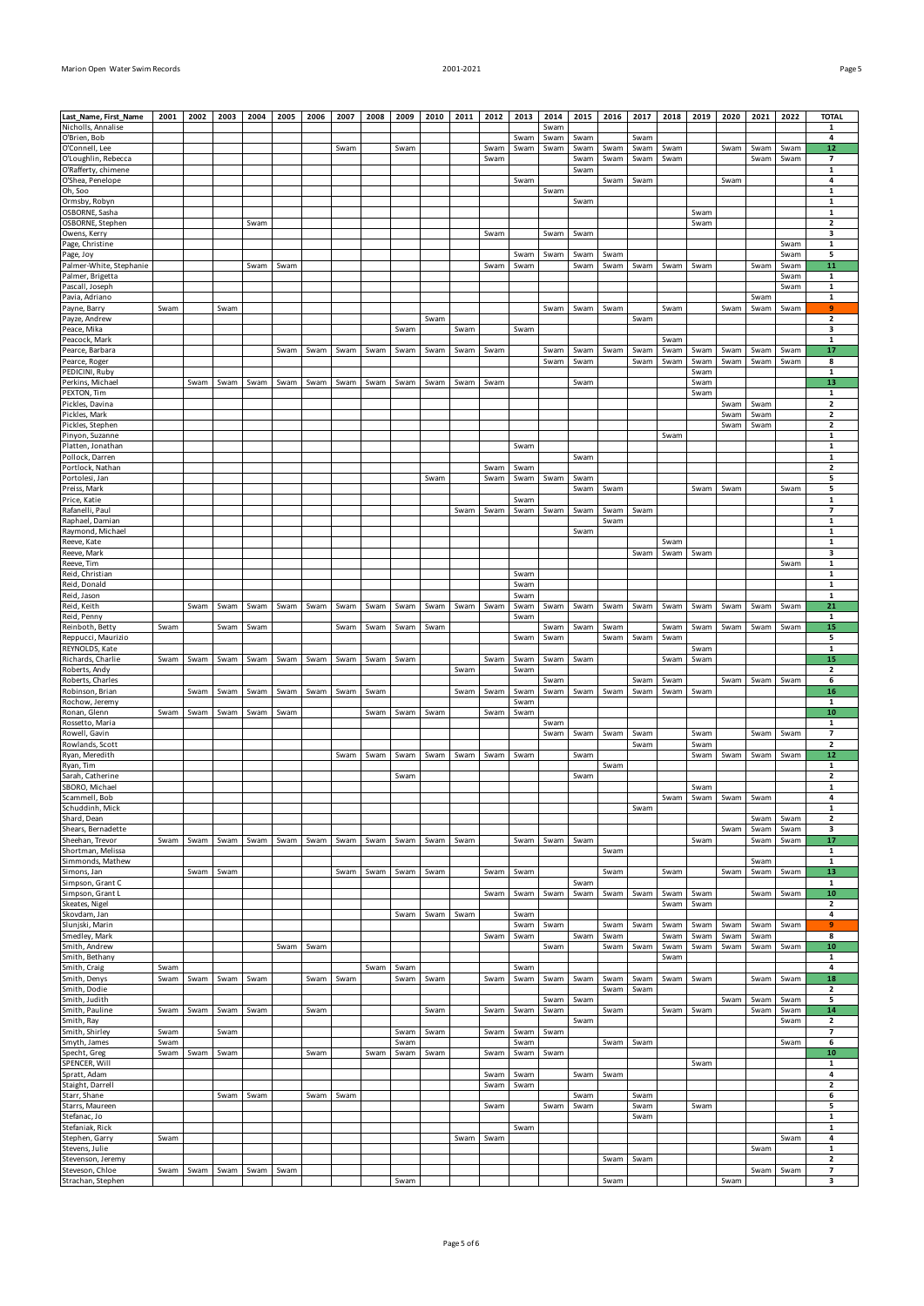| ٠<br>۰.<br>×<br>I |  |  |
|-------------------|--|--|
|-------------------|--|--|

|                                             | 2001         | 2002 | 2003 | 2004 | 2005 | 2006 | 2007 | 2008 | 2009         | 2010 | 2011 | 2012         | 2013         | 2014         | 2015         | 2016         | 2017         | 2018         | 2019         | 2020                | 2021         | 2022         | <b>TOTAL</b>                                        |
|---------------------------------------------|--------------|------|------|------|------|------|------|------|--------------|------|------|--------------|--------------|--------------|--------------|--------------|--------------|--------------|--------------|---------------------|--------------|--------------|-----------------------------------------------------|
| Last_Name, First_Name<br>Nicholls, Annalise |              |      |      |      |      |      |      |      |              |      |      |              |              | Swam         |              |              |              |              |              |                     |              |              | 1                                                   |
| O'Brien, Bob                                |              |      |      |      |      |      |      |      |              |      |      |              | Swam         | Swam         | Swam         |              | Swam         |              |              |                     |              |              | 4                                                   |
| O'Connell, Lee<br>O'Loughlin, Rebecca       |              |      |      |      |      |      | Swam |      | Swam         |      |      | Swam<br>Swam | Swam         | Swam         | Swam<br>Swam | Swam<br>Swam | Swam<br>Swam | Swam<br>Swam |              | Swam                | Swam<br>Swam | Swam<br>Swam | 12<br>$\overline{\phantom{a}}$                      |
| O'Rafferty, chimene                         |              |      |      |      |      |      |      |      |              |      |      |              |              |              | Swam         |              |              |              |              |                     |              |              | $\mathbf 1$                                         |
| O'Shea, Penelope                            |              |      |      |      |      |      |      |      |              |      |      |              | Swam         |              |              | Swam         | Swam         |              |              | Swam                |              |              | 4                                                   |
| Oh, Soo<br>Ormsby, Robyn                    |              |      |      |      |      |      |      |      |              |      |      |              |              | Swam         | Swam         |              |              |              |              |                     |              |              | $\mathbf{1}$<br>$\mathbf 1$                         |
| OSBORNE, Sasha                              |              |      |      |      |      |      |      |      |              |      |      |              |              |              |              |              |              |              | Swam         |                     |              |              | 1                                                   |
| OSBORNE, Stephen                            |              |      |      | Swam |      |      |      |      |              |      |      |              |              |              |              |              |              |              | Swam         |                     |              |              | $\overline{\mathbf{2}}$                             |
| Owens, Kerry                                |              |      |      |      |      |      |      |      |              |      |      | Swam         |              | Swam         | Swam         |              |              |              |              |                     |              |              | 3                                                   |
| Page, Christine<br>Page, Joy                |              |      |      |      |      |      |      |      |              |      |      |              | Swam         | Swam         | Swam         | Swam         |              |              |              |                     |              | Swam<br>Swam | $\mathbf 1$<br>5                                    |
| Palmer-White, Stephanie                     |              |      |      | Swam | Swam |      |      |      |              |      |      | Swam         | Swam         |              | Swam         | Swam         | Swam         | Swam         | Swam         |                     | Swam         | Swam         | 11                                                  |
| Palmer, Brigetta                            |              |      |      |      |      |      |      |      |              |      |      |              |              |              |              |              |              |              |              |                     |              | Swam         | $\mathbf{1}$                                        |
| Pascall, Joseph                             |              |      |      |      |      |      |      |      |              |      |      |              |              |              |              |              |              |              |              |                     | Swam         | Swam         | 1<br>$\mathbf 1$                                    |
| Pavia, Adriano<br>Payne, Barry              | Swam         |      | Swam |      |      |      |      |      |              |      |      |              |              | Swam         | Swam         | Swam         |              | Swam         |              | Swam                | Swam         | Swam         | 9                                                   |
| Payze, Andrew                               |              |      |      |      |      |      |      |      |              | Swam |      |              |              |              |              |              | Swam         |              |              |                     |              |              | $\mathbf{2}$                                        |
| Peace, Mika                                 |              |      |      |      |      |      |      |      | Swam         |      | Swam |              | Swam         |              |              |              |              |              |              |                     |              |              | 3                                                   |
| Peacock, Mark<br>Pearce, Barbara            |              |      |      |      | Swam | Swam | Swam | Swam | Swam         | Swam | Swam | Swam         |              | Swam         | Swam         | Swam         | Swam         | Swam<br>Swam | Swam         | Swam                | Swam         | Swam         | $\mathbf 1$<br>17                                   |
| Pearce, Roger                               |              |      |      |      |      |      |      |      |              |      |      |              |              | Swam         | Swam         |              | Swam         | Swam         | Swam         | Swam                | Swam         | Swam         | 8                                                   |
| PEDICINI, Ruby                              |              |      |      |      |      |      |      |      |              |      |      |              |              |              |              |              |              |              | Swam         |                     |              |              | $\mathbf 1$                                         |
| Perkins, Michael                            |              | Swam | Swam | Swam | Swam | Swam | Swam | Swam | Swam         | Swam | Swam | Swam         |              |              | Swam         |              |              |              | Swam         |                     |              |              | 13                                                  |
| PEXTON, Tim<br>Pickles, Davina              |              |      |      |      |      |      |      |      |              |      |      |              |              |              |              |              |              |              | Swam         | Swam                | Swam         |              | 1<br>$\overline{\mathbf{2}}$                        |
| Pickles, Mark                               |              |      |      |      |      |      |      |      |              |      |      |              |              |              |              |              |              |              |              | Swam                | Swam         |              | 2                                                   |
| Pickles, Stephen                            |              |      |      |      |      |      |      |      |              |      |      |              |              |              |              |              |              |              |              | Swam                | Swam         |              | 2                                                   |
| Pinyon, Suzanne                             |              |      |      |      |      |      |      |      |              |      |      |              |              |              |              |              |              | Swam         |              |                     |              |              | 1                                                   |
| Platten, Jonathan<br>Pollock, Darren        |              |      |      |      |      |      |      |      |              |      |      |              | Swam         |              | Swam         |              |              |              |              |                     |              |              | $\mathbf 1$<br>1                                    |
| Portlock, Nathan                            |              |      |      |      |      |      |      |      |              |      |      | Swam         | Swam         |              |              |              |              |              |              |                     |              |              | 2                                                   |
| Portolesi, Jan                              |              |      |      |      |      |      |      |      |              | Swam |      | Swam         | Swam         | Swam         | Swam         |              |              |              |              |                     |              |              | 5                                                   |
| Preiss, Mark                                |              |      |      |      |      |      |      |      |              |      |      |              |              |              | Swam         | Swam         |              |              | Swam         | Swam                |              | Swam         | 5                                                   |
| Price, Katie<br>Rafanelli, Paul             |              |      |      |      |      |      |      |      |              |      | Swam | Swam         | Swam<br>Swam | Swam         | Swam         | Swam         | Swam         |              |              |                     |              |              | $\mathbf 1$<br>7                                    |
| Raphael, Damian                             |              |      |      |      |      |      |      |      |              |      |      |              |              |              |              | Swam         |              |              |              |                     |              |              | $\mathbf 1$                                         |
| Raymond, Michael                            |              |      |      |      |      |      |      |      |              |      |      |              |              |              | Swam         |              |              |              |              |                     |              |              | 1                                                   |
| Reeve, Kate                                 |              |      |      |      |      |      |      |      |              |      |      |              |              |              |              |              |              | Swam         |              |                     |              |              | $\mathbf 1$                                         |
| Reeve, Mark<br>Reeve, Tim                   |              |      |      |      |      |      |      |      |              |      |      |              |              |              |              |              | Swam         | Swam         | Swam         |                     |              | Swam         | 3<br>$\mathbf{1}$                                   |
| Reid, Christian                             |              |      |      |      |      |      |      |      |              |      |      |              | Swam         |              |              |              |              |              |              |                     |              |              | $\mathbf 1$                                         |
| Reid, Donald                                |              |      |      |      |      |      |      |      |              |      |      |              | Swam         |              |              |              |              |              |              |                     |              |              | 1                                                   |
| Reid, Jason                                 |              |      |      |      |      |      |      |      |              |      |      |              | Swam         |              |              |              |              |              |              |                     |              |              | $\mathbf{1}$                                        |
| Reid, Keith<br>Reid, Penny                  |              | Swam | Swam | Swam | Swam | Swam | Swam | Swam | Swam         | Swam | Swam | Swam         | Swam<br>Swam | Swam         | Swam         | Swam         | Swam         | Swam         | Swam         | Swam                | Swam         | Swam         | 21<br>1                                             |
| Reinboth, Betty                             | Swam         |      | Swam | Swam |      |      | Swam | Swam | Swam         | Swam |      |              |              | Swam         | Swam         | Swam         |              | Swam         | Swam         | Swam                | Swam         | Swam         | 15                                                  |
| Reppucci, Maurizio                          |              |      |      |      |      |      |      |      |              |      |      |              | Swam         | Swam         |              | Swam         | Swam         | Swam         |              |                     |              |              | 5                                                   |
| REYNOLDS, Kate                              |              |      |      |      |      |      |      |      |              |      |      |              |              |              |              |              |              |              | Swam         |                     |              |              | $\mathbf{1}$                                        |
| Richards, Charlie<br>Roberts, Andy          | Swam         | Swam | Swam | Swam | Swam | Swam | Swam | Swam | Swam         |      |      | Swam         | Swam         | Swam         | Swam         |              |              | Swam         | Swam         |                     |              |              | 15                                                  |
|                                             |              |      |      |      |      |      |      |      |              |      |      |              |              |              |              |              |              |              |              |                     |              |              |                                                     |
| Roberts, Charles                            |              |      |      |      |      |      |      |      |              |      | Swam |              | Swam         | Swam         |              |              | Swam         | Swam         |              | Swam                | Swam         | Swam         | $\overline{\mathbf{2}}$<br>6                        |
| Robinson, Brian                             |              | Swam | Swam | Swam | Swam | Swam | Swam | Swam |              |      | Swam | Swam         | Swam         | Swam         | Swam         | Swam         | Swam         | Swam         | Swam         |                     |              |              | 16                                                  |
| Rochow, Jeremy                              |              |      |      |      |      |      |      |      |              |      |      |              | Swam         |              |              |              |              |              |              |                     |              |              | 1                                                   |
| Ronan, Glenn                                | Swam         | Swam | Swam | Swam | Swam |      |      | Swam | Swam         | Swam |      | Swam         | Swam         |              |              |              |              |              |              |                     |              |              | 10                                                  |
| Rossetto, Maria<br>Rowell, Gavin            |              |      |      |      |      |      |      |      |              |      |      |              |              | Swam<br>Swam | Swam         | Swam         | Swam         |              | Swam         |                     | Swam         | Swam         | 1<br>$\overline{7}$                                 |
| Rowlands, Scott                             |              |      |      |      |      |      |      |      |              |      |      |              |              |              |              |              | Swam         |              | Swam         |                     |              |              | $\overline{\mathbf{2}}$                             |
| Ryan, Meredith                              |              |      |      |      |      |      | Swam | Swam | Swam         | Swam | Swam | Swam         | Swam         |              | Swam         |              |              |              | Swam         | Swam                | Swam         | Swam         | 12                                                  |
| Ryan, Tim                                   |              |      |      |      |      |      |      |      |              |      |      |              |              |              |              | Swam         |              |              |              |                     |              |              | 1                                                   |
| Sarah, Catherine<br>SBORO, Michael          |              |      |      |      |      |      |      |      | Swam         |      |      |              |              |              | Swam         |              |              |              | Swam         |                     |              |              | $\mathbf{2}$<br>$\mathbf{1}$                        |
| Scammell, Bob                               |              |      |      |      |      |      |      |      |              |      |      |              |              |              |              |              |              |              |              | Swam Swam Swam Swam |              |              | 4                                                   |
| Schuddinh, Mick                             |              |      |      |      |      |      |      |      |              |      |      |              |              |              |              |              | Swam         |              |              |                     |              |              | 1                                                   |
| Shard, Dean<br>Shears, Bernadette           |              |      |      |      |      |      |      |      |              |      |      |              |              |              |              |              |              |              |              | Swam                | Swam<br>Swam | Swam<br>Swam | $\mathbf{2}$<br>3                                   |
| Sheehan, Trevor                             | Swam         | Swam | Swam | Swam | Swam | Swam | Swam | Swam | Swam         | Swam | Swam |              | Swam         | Swam         | Swam         |              |              |              | Swam         |                     | Swam         | Swam         | 17                                                  |
| Shortman, Melissa                           |              |      |      |      |      |      |      |      |              |      |      |              |              |              |              | Swam         |              |              |              |                     |              |              | 1                                                   |
| Simmonds, Mathew                            |              |      |      |      |      |      |      |      |              |      |      |              |              |              |              |              |              |              |              |                     | Swam         |              | $\mathbf{1}$                                        |
| Simons, Jan<br>Simpson, Grant C             |              | Swam | Swam |      |      |      | Swam | Swam | Swam         | Swam |      | Swam         | Swam         |              | Swam         | Swam         |              | Swam         |              | Swam                | Swam         | Swam         | 13<br>1                                             |
| Simpson, Grant L                            |              |      |      |      |      |      |      |      |              |      |      | Swam         | Swam         | Swam         | Swam         | Swam         | Swam         | Swam         | Swam         |                     | Swam         | Swam         | 10                                                  |
| Skeates, Nigel                              |              |      |      |      |      |      |      |      |              |      |      |              |              |              |              |              |              | Swam         | Swam         |                     |              |              | $\overline{\mathbf{2}}$                             |
| Skovdam, Jan                                |              |      |      |      |      |      |      |      | Swam         | Swam | Swam |              | Swam         |              |              |              |              |              |              |                     |              |              | 4                                                   |
| Slunjski, Marin<br>Smedley, Mark            |              |      |      |      |      |      |      |      |              |      |      | Swam         | Swam<br>Swam | Swam         | Swam         | Swam<br>Swam | Swam         | Swam<br>Swam | Swam<br>Swam | Swam<br>Swam        | Swam<br>Swam | Swam         | 9<br>8                                              |
| Smith, Andrew                               |              |      |      |      | Swam | Swam |      |      |              |      |      |              |              | Swam         |              | Swam         | Swam         | Swam         | Swam         | Swam                | Swam         | Swam         | 10                                                  |
| Smith, Bethany                              |              |      |      |      |      |      |      |      |              |      |      |              |              |              |              |              |              | Swam         |              |                     |              |              | 1                                                   |
| Smith, Craig                                | Swam         |      |      |      |      |      |      | Swam | Swam         |      |      |              | Swam         |              |              |              |              |              |              |                     |              |              | 4                                                   |
| Smith, Denys<br>Smith, Dodie                | Swam         | Swam | Swam | Swam |      | Swam | Swam |      | Swam         | Swam |      | Swam         | Swam         | Swam         | Swam         | Swam<br>Swam | Swam<br>Swam | Swam         | Swam         |                     | Swam         | Swam         | 18<br>2                                             |
| Smith, Judith                               |              |      |      |      |      |      |      |      |              |      |      |              |              | Swam         | Swam         |              |              |              |              | Swam                | Swam         | Swam         | 5                                                   |
| Smith, Pauline                              | Swam         | Swam | Swam | Swam |      | Swam |      |      |              | Swam |      | Swam         | Swam         | Swam         |              | Swam         |              | Swam         | Swam         |                     | Swam         | Swam         | 14                                                  |
| Smith, Ray                                  |              |      |      |      |      |      |      |      |              |      |      |              |              |              | Swam         |              |              |              |              |                     |              | Swam         | 2<br>$\overline{\phantom{a}}$                       |
| Smith, Shirley<br>Smyth, James              | Swam<br>Swam |      | Swam |      |      |      |      |      | Swam<br>Swam | Swam |      | Swam         | Swam<br>Swam | Swam         |              | Swam         | Swam         |              |              |                     |              | Swam         | 6                                                   |
| Specht, Greg                                | Swam         | Swam | Swam |      |      | Swam |      | Swam | Swam         | Swam |      | Swam         | Swam         | Swam         |              |              |              |              |              |                     |              |              | 10                                                  |
| SPENCER, Will                               |              |      |      |      |      |      |      |      |              |      |      |              |              |              |              |              |              |              | Swam         |                     |              |              | 1                                                   |
| Spratt, Adam<br>Staight, Darrell            |              |      |      |      |      |      |      |      |              |      |      | Swam<br>Swam | Swam<br>Swam |              | Swam         | Swam         |              |              |              |                     |              |              | 4<br>$\overline{\mathbf{2}}$                        |
| Starr, Shane                                |              |      | Swam | Swam |      | Swam | Swam |      |              |      |      |              |              |              | Swam         |              | Swam         |              |              |                     |              |              | 6                                                   |
| Starrs, Maureen                             |              |      |      |      |      |      |      |      |              |      |      | Swam         |              | Swam         | Swam         |              | Swam         |              | Swam         |                     |              |              | 5                                                   |
| Stefanac, Jo                                |              |      |      |      |      |      |      |      |              |      |      |              |              |              |              |              | Swam         |              |              |                     |              |              | $\mathbf 1$                                         |
| Stefaniak, Rick<br>Stephen, Garry           | Swam         |      |      |      |      |      |      |      |              |      | Swam | Swam         | Swam         |              |              |              |              |              |              |                     |              | Swam         | $\mathbf 1$<br>4                                    |
| Stevens, Julie                              |              |      |      |      |      |      |      |      |              |      |      |              |              |              |              |              |              |              |              |                     | Swam         |              | 1                                                   |
| Stevenson, Jeremy<br>Steveson, Chloe        | Swam         | Swam | Swam | Swam | Swam |      |      |      |              |      |      |              |              |              |              | Swam         | Swam         |              |              |                     | Swam         | Swam         | $\overline{\mathbf{2}}$<br>$\overline{\phantom{a}}$ |